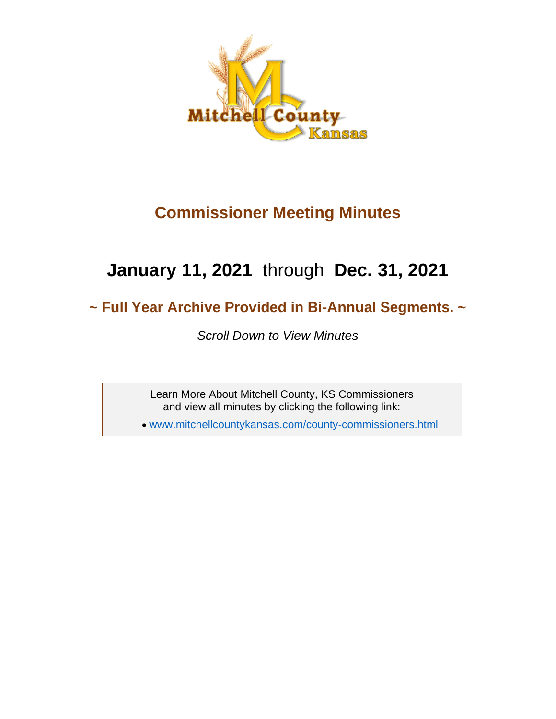

## **Commissioner Meeting Minutes**

## **January 11, 2021** through **Dec. 31, 2021**

## **~ Full Year Archive Provided in Bi-Annual Segments. ~**

*Scroll Down to View Minutes*

Learn More About Mitchell County, KS Commissioners and view all minutes by clicking the following link:

• [www.mitchellcountykansas.com/county-commissioners.html](http://www.mitchellcountykansas.com/county-commissioners.html)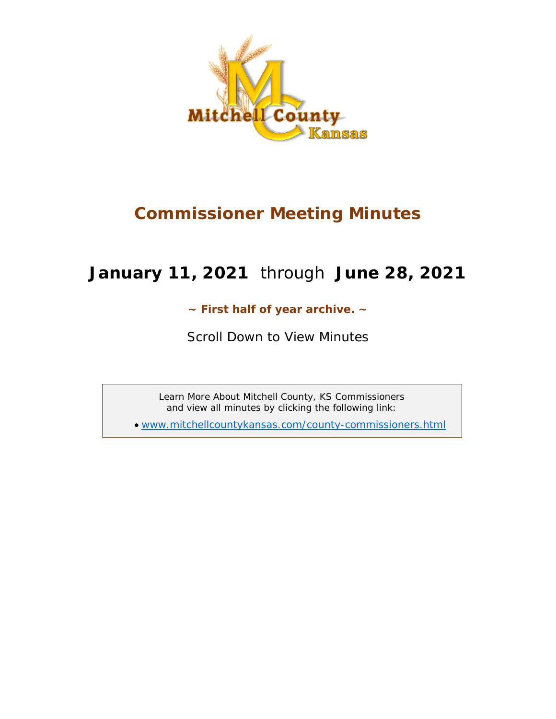

## **Commissioner Meeting Minutes**

## **January 11, 2021** through **June 28, 2021**

## **~ First half of year archive. ~**

*Scroll Down to View Minutes*

Learn More About Mitchell County, KS Commissioners and view all minutes by clicking the following link:

• [www.mitchellcountykansas.com/county-commissioners.html](http://www.mitchellcountykansas.com/county-commissioners.html)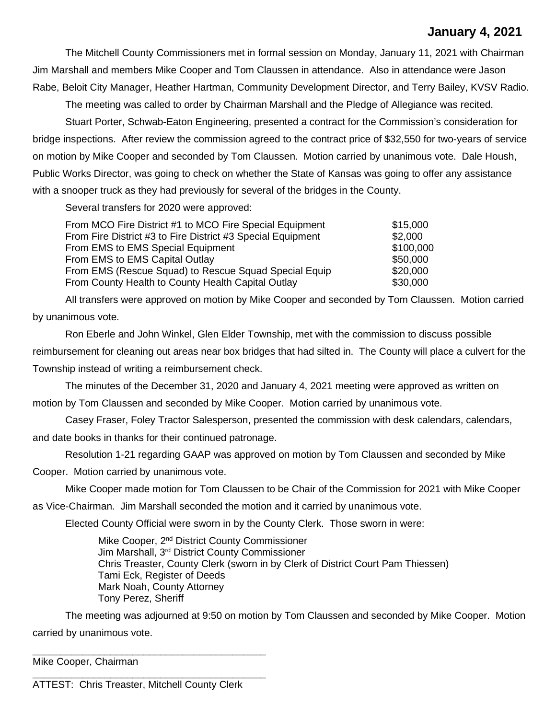## **January 4, 2021**

The Mitchell County Commissioners met in formal session on Monday, January 11, 2021 with Chairman Jim Marshall and members Mike Cooper and Tom Claussen in attendance. Also in attendance were Jason Rabe, Beloit City Manager, Heather Hartman, Community Development Director, and Terry Bailey, KVSV Radio.

The meeting was called to order by Chairman Marshall and the Pledge of Allegiance was recited. Stuart Porter, Schwab-Eaton Engineering, presented a contract for the Commission's consideration for bridge inspections. After review the commission agreed to the contract price of \$32,550 for two-years of service on motion by Mike Cooper and seconded by Tom Claussen. Motion carried by unanimous vote. Dale Housh, Public Works Director, was going to check on whether the State of Kansas was going to offer any assistance with a snooper truck as they had previously for several of the bridges in the County.

Several transfers for 2020 were approved:

| From MCO Fire District #1 to MCO Fire Special Equipment     | \$15,000  |
|-------------------------------------------------------------|-----------|
| From Fire District #3 to Fire District #3 Special Equipment | \$2,000   |
| From EMS to EMS Special Equipment                           | \$100,000 |
| From EMS to EMS Capital Outlay                              | \$50,000  |
| From EMS (Rescue Squad) to Rescue Squad Special Equip       | \$20,000  |
| From County Health to County Health Capital Outlay          | \$30,000  |

All transfers were approved on motion by Mike Cooper and seconded by Tom Claussen. Motion carried by unanimous vote.

Ron Eberle and John Winkel, Glen Elder Township, met with the commission to discuss possible reimbursement for cleaning out areas near box bridges that had silted in. The County will place a culvert for the Township instead of writing a reimbursement check.

The minutes of the December 31, 2020 and January 4, 2021 meeting were approved as written on

motion by Tom Claussen and seconded by Mike Cooper. Motion carried by unanimous vote.

Casey Fraser, Foley Tractor Salesperson, presented the commission with desk calendars, calendars,

and date books in thanks for their continued patronage.

Resolution 1-21 regarding GAAP was approved on motion by Tom Claussen and seconded by Mike

Cooper. Motion carried by unanimous vote.

Mike Cooper made motion for Tom Claussen to be Chair of the Commission for 2021 with Mike Cooper

as Vice-Chairman. Jim Marshall seconded the motion and it carried by unanimous vote.

Elected County Official were sworn in by the County Clerk. Those sworn in were:

Mike Cooper, 2<sup>nd</sup> District County Commissioner Jim Marshall, 3rd District County Commissioner Chris Treaster, County Clerk (sworn in by Clerk of District Court Pam Thiessen) Tami Eck, Register of Deeds Mark Noah, County Attorney Tony Perez, Sheriff

The meeting was adjourned at 9:50 on motion by Tom Claussen and seconded by Mike Cooper. Motion carried by unanimous vote.

\_\_\_\_\_\_\_\_\_\_\_\_\_\_\_\_\_\_\_\_\_\_\_\_\_\_\_\_\_\_\_\_\_\_\_\_\_\_\_\_\_\_ Mike Cooper, Chairman

\_\_\_\_\_\_\_\_\_\_\_\_\_\_\_\_\_\_\_\_\_\_\_\_\_\_\_\_\_\_\_\_\_\_\_\_\_\_\_\_\_\_ ATTEST: Chris Treaster, Mitchell County Clerk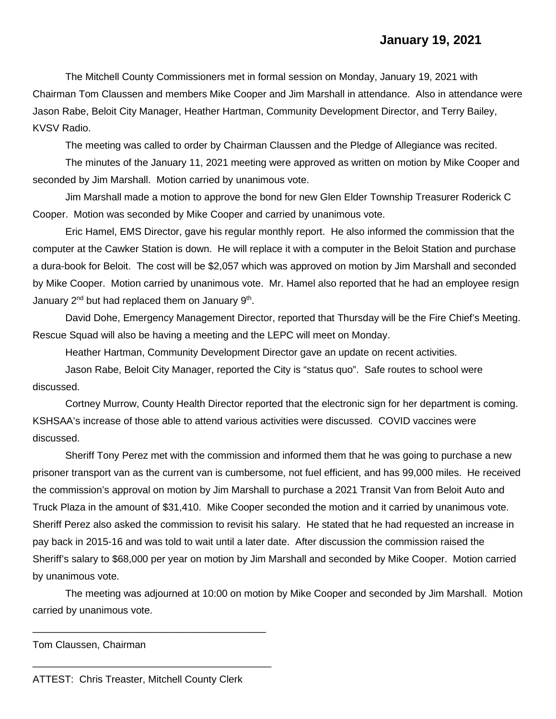The Mitchell County Commissioners met in formal session on Monday, January 19, 2021 with Chairman Tom Claussen and members Mike Cooper and Jim Marshall in attendance. Also in attendance were Jason Rabe, Beloit City Manager, Heather Hartman, Community Development Director, and Terry Bailey, KVSV Radio.

The meeting was called to order by Chairman Claussen and the Pledge of Allegiance was recited.

The minutes of the January 11, 2021 meeting were approved as written on motion by Mike Cooper and seconded by Jim Marshall. Motion carried by unanimous vote.

Jim Marshall made a motion to approve the bond for new Glen Elder Township Treasurer Roderick C Cooper. Motion was seconded by Mike Cooper and carried by unanimous vote.

Eric Hamel, EMS Director, gave his regular monthly report. He also informed the commission that the computer at the Cawker Station is down. He will replace it with a computer in the Beloit Station and purchase a dura-book for Beloit. The cost will be \$2,057 which was approved on motion by Jim Marshall and seconded by Mike Cooper. Motion carried by unanimous vote. Mr. Hamel also reported that he had an employee resign January  $2^{nd}$  but had replaced them on January  $9^{th}$ .

David Dohe, Emergency Management Director, reported that Thursday will be the Fire Chief's Meeting. Rescue Squad will also be having a meeting and the LEPC will meet on Monday.

Heather Hartman, Community Development Director gave an update on recent activities.

Jason Rabe, Beloit City Manager, reported the City is "status quo". Safe routes to school were discussed.

Cortney Murrow, County Health Director reported that the electronic sign for her department is coming. KSHSAA's increase of those able to attend various activities were discussed. COVID vaccines were discussed.

Sheriff Tony Perez met with the commission and informed them that he was going to purchase a new prisoner transport van as the current van is cumbersome, not fuel efficient, and has 99,000 miles. He received the commission's approval on motion by Jim Marshall to purchase a 2021 Transit Van from Beloit Auto and Truck Plaza in the amount of \$31,410. Mike Cooper seconded the motion and it carried by unanimous vote. Sheriff Perez also asked the commission to revisit his salary. He stated that he had requested an increase in pay back in 2015-16 and was told to wait until a later date. After discussion the commission raised the Sheriff's salary to \$68,000 per year on motion by Jim Marshall and seconded by Mike Cooper. Motion carried by unanimous vote.

The meeting was adjourned at 10:00 on motion by Mike Cooper and seconded by Jim Marshall. Motion carried by unanimous vote.

Tom Claussen, Chairman

ATTEST: Chris Treaster, Mitchell County Clerk

\_\_\_\_\_\_\_\_\_\_\_\_\_\_\_\_\_\_\_\_\_\_\_\_\_\_\_\_\_\_\_\_\_\_\_\_\_\_\_\_\_\_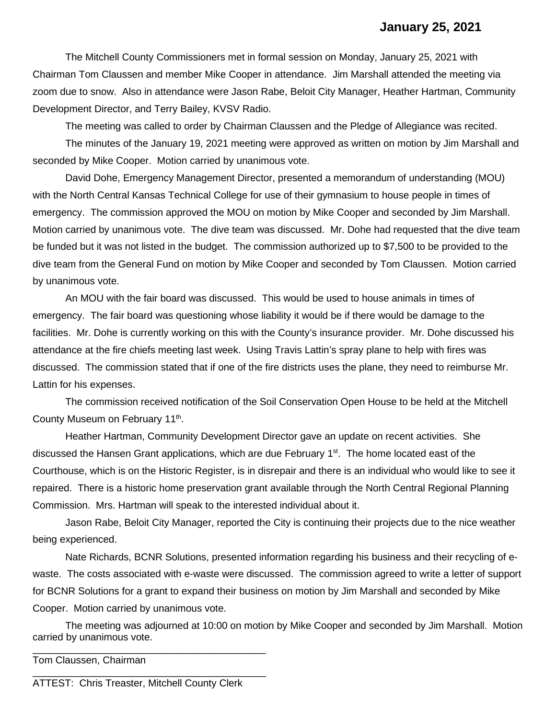## **January 25, 2021**

The Mitchell County Commissioners met in formal session on Monday, January 25, 2021 with Chairman Tom Claussen and member Mike Cooper in attendance. Jim Marshall attended the meeting via zoom due to snow. Also in attendance were Jason Rabe, Beloit City Manager, Heather Hartman, Community Development Director, and Terry Bailey, KVSV Radio.

The meeting was called to order by Chairman Claussen and the Pledge of Allegiance was recited.

The minutes of the January 19, 2021 meeting were approved as written on motion by Jim Marshall and seconded by Mike Cooper. Motion carried by unanimous vote.

David Dohe, Emergency Management Director, presented a memorandum of understanding (MOU) with the North Central Kansas Technical College for use of their gymnasium to house people in times of emergency. The commission approved the MOU on motion by Mike Cooper and seconded by Jim Marshall. Motion carried by unanimous vote. The dive team was discussed. Mr. Dohe had requested that the dive team be funded but it was not listed in the budget. The commission authorized up to \$7,500 to be provided to the dive team from the General Fund on motion by Mike Cooper and seconded by Tom Claussen. Motion carried by unanimous vote.

An MOU with the fair board was discussed. This would be used to house animals in times of emergency. The fair board was questioning whose liability it would be if there would be damage to the facilities. Mr. Dohe is currently working on this with the County's insurance provider. Mr. Dohe discussed his attendance at the fire chiefs meeting last week. Using Travis Lattin's spray plane to help with fires was discussed. The commission stated that if one of the fire districts uses the plane, they need to reimburse Mr. Lattin for his expenses.

The commission received notification of the Soil Conservation Open House to be held at the Mitchell County Museum on February 11th.

Heather Hartman, Community Development Director gave an update on recent activities. She discussed the Hansen Grant applications, which are due February  $1<sup>st</sup>$ . The home located east of the Courthouse, which is on the Historic Register, is in disrepair and there is an individual who would like to see it repaired. There is a historic home preservation grant available through the North Central Regional Planning Commission. Mrs. Hartman will speak to the interested individual about it.

Jason Rabe, Beloit City Manager, reported the City is continuing their projects due to the nice weather being experienced.

Nate Richards, BCNR Solutions, presented information regarding his business and their recycling of ewaste. The costs associated with e-waste were discussed. The commission agreed to write a letter of support for BCNR Solutions for a grant to expand their business on motion by Jim Marshall and seconded by Mike Cooper. Motion carried by unanimous vote.

The meeting was adjourned at 10:00 on motion by Mike Cooper and seconded by Jim Marshall. Motion carried by unanimous vote.

Tom Claussen, Chairman

ATTEST: Chris Treaster, Mitchell County Clerk

\_\_\_\_\_\_\_\_\_\_\_\_\_\_\_\_\_\_\_\_\_\_\_\_\_\_\_\_\_\_\_\_\_\_\_\_\_\_\_\_\_\_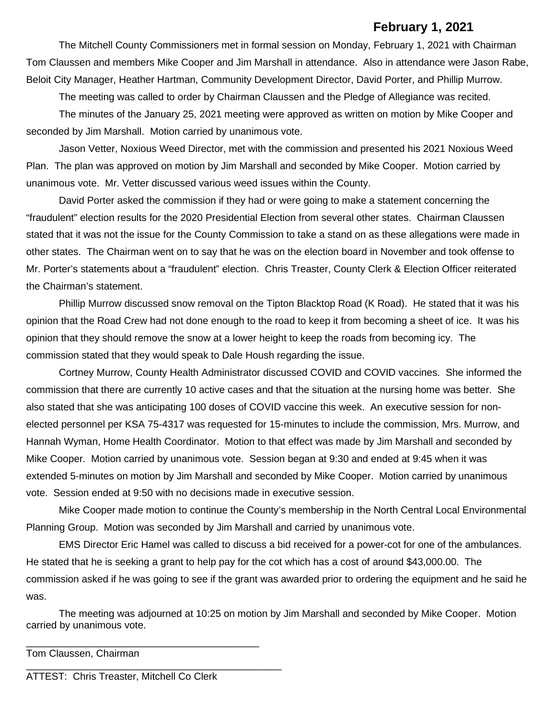#### **February 1, 2021**

The Mitchell County Commissioners met in formal session on Monday, February 1, 2021 with Chairman Tom Claussen and members Mike Cooper and Jim Marshall in attendance. Also in attendance were Jason Rabe, Beloit City Manager, Heather Hartman, Community Development Director, David Porter, and Phillip Murrow.

The meeting was called to order by Chairman Claussen and the Pledge of Allegiance was recited.

The minutes of the January 25, 2021 meeting were approved as written on motion by Mike Cooper and seconded by Jim Marshall. Motion carried by unanimous vote.

Jason Vetter, Noxious Weed Director, met with the commission and presented his 2021 Noxious Weed Plan. The plan was approved on motion by Jim Marshall and seconded by Mike Cooper. Motion carried by unanimous vote. Mr. Vetter discussed various weed issues within the County.

David Porter asked the commission if they had or were going to make a statement concerning the "fraudulent" election results for the 2020 Presidential Election from several other states. Chairman Claussen stated that it was not the issue for the County Commission to take a stand on as these allegations were made in other states. The Chairman went on to say that he was on the election board in November and took offense to Mr. Porter's statements about a "fraudulent" election. Chris Treaster, County Clerk & Election Officer reiterated the Chairman's statement.

Phillip Murrow discussed snow removal on the Tipton Blacktop Road (K Road). He stated that it was his opinion that the Road Crew had not done enough to the road to keep it from becoming a sheet of ice. It was his opinion that they should remove the snow at a lower height to keep the roads from becoming icy. The commission stated that they would speak to Dale Housh regarding the issue.

Cortney Murrow, County Health Administrator discussed COVID and COVID vaccines. She informed the commission that there are currently 10 active cases and that the situation at the nursing home was better. She also stated that she was anticipating 100 doses of COVID vaccine this week. An executive session for nonelected personnel per KSA 75-4317 was requested for 15-minutes to include the commission, Mrs. Murrow, and Hannah Wyman, Home Health Coordinator. Motion to that effect was made by Jim Marshall and seconded by Mike Cooper. Motion carried by unanimous vote. Session began at 9:30 and ended at 9:45 when it was extended 5-minutes on motion by Jim Marshall and seconded by Mike Cooper. Motion carried by unanimous vote. Session ended at 9:50 with no decisions made in executive session.

Mike Cooper made motion to continue the County's membership in the North Central Local Environmental Planning Group. Motion was seconded by Jim Marshall and carried by unanimous vote.

EMS Director Eric Hamel was called to discuss a bid received for a power-cot for one of the ambulances. He stated that he is seeking a grant to help pay for the cot which has a cost of around \$43,000.00. The commission asked if he was going to see if the grant was awarded prior to ordering the equipment and he said he was.

The meeting was adjourned at 10:25 on motion by Jim Marshall and seconded by Mike Cooper. Motion carried by unanimous vote.

\_\_\_\_\_\_\_\_\_\_\_\_\_\_\_\_\_\_\_\_\_\_\_\_\_\_\_\_\_\_\_\_\_\_\_\_\_\_\_\_\_\_ Tom Claussen, Chairman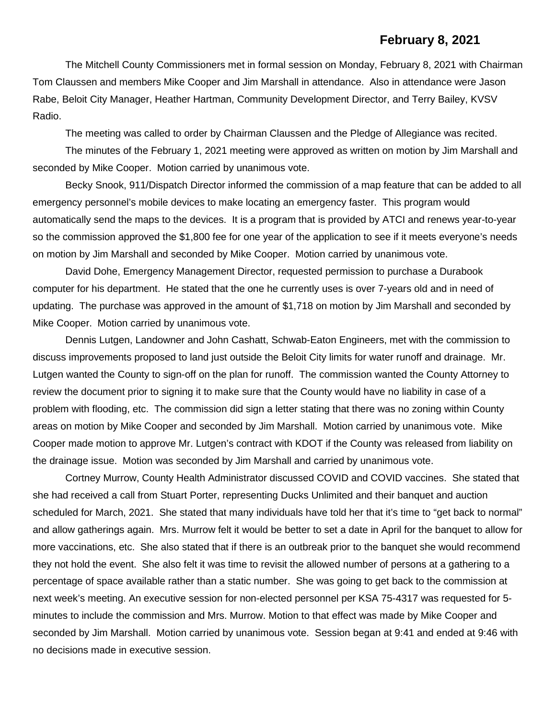#### **February 8, 2021**

The Mitchell County Commissioners met in formal session on Monday, February 8, 2021 with Chairman Tom Claussen and members Mike Cooper and Jim Marshall in attendance. Also in attendance were Jason Rabe, Beloit City Manager, Heather Hartman, Community Development Director, and Terry Bailey, KVSV Radio.

The meeting was called to order by Chairman Claussen and the Pledge of Allegiance was recited.

The minutes of the February 1, 2021 meeting were approved as written on motion by Jim Marshall and seconded by Mike Cooper. Motion carried by unanimous vote.

Becky Snook, 911/Dispatch Director informed the commission of a map feature that can be added to all emergency personnel's mobile devices to make locating an emergency faster. This program would automatically send the maps to the devices. It is a program that is provided by ATCI and renews year-to-year so the commission approved the \$1,800 fee for one year of the application to see if it meets everyone's needs on motion by Jim Marshall and seconded by Mike Cooper. Motion carried by unanimous vote.

David Dohe, Emergency Management Director, requested permission to purchase a Durabook computer for his department. He stated that the one he currently uses is over 7-years old and in need of updating. The purchase was approved in the amount of \$1,718 on motion by Jim Marshall and seconded by Mike Cooper. Motion carried by unanimous vote.

Dennis Lutgen, Landowner and John Cashatt, Schwab-Eaton Engineers, met with the commission to discuss improvements proposed to land just outside the Beloit City limits for water runoff and drainage. Mr. Lutgen wanted the County to sign-off on the plan for runoff. The commission wanted the County Attorney to review the document prior to signing it to make sure that the County would have no liability in case of a problem with flooding, etc. The commission did sign a letter stating that there was no zoning within County areas on motion by Mike Cooper and seconded by Jim Marshall. Motion carried by unanimous vote. Mike Cooper made motion to approve Mr. Lutgen's contract with KDOT if the County was released from liability on the drainage issue. Motion was seconded by Jim Marshall and carried by unanimous vote.

Cortney Murrow, County Health Administrator discussed COVID and COVID vaccines. She stated that she had received a call from Stuart Porter, representing Ducks Unlimited and their banquet and auction scheduled for March, 2021. She stated that many individuals have told her that it's time to "get back to normal" and allow gatherings again. Mrs. Murrow felt it would be better to set a date in April for the banquet to allow for more vaccinations, etc. She also stated that if there is an outbreak prior to the banquet she would recommend they not hold the event. She also felt it was time to revisit the allowed number of persons at a gathering to a percentage of space available rather than a static number. She was going to get back to the commission at next week's meeting. An executive session for non-elected personnel per KSA 75-4317 was requested for 5 minutes to include the commission and Mrs. Murrow. Motion to that effect was made by Mike Cooper and seconded by Jim Marshall. Motion carried by unanimous vote. Session began at 9:41 and ended at 9:46 with no decisions made in executive session.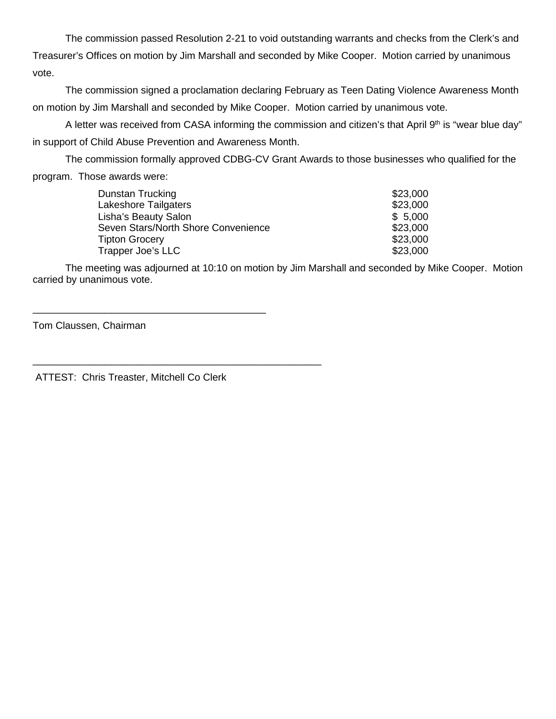The commission passed Resolution 2-21 to void outstanding warrants and checks from the Clerk's and Treasurer's Offices on motion by Jim Marshall and seconded by Mike Cooper. Motion carried by unanimous vote.

The commission signed a proclamation declaring February as Teen Dating Violence Awareness Month on motion by Jim Marshall and seconded by Mike Cooper. Motion carried by unanimous vote.

A letter was received from CASA informing the commission and citizen's that April 9<sup>th</sup> is "wear blue day" in support of Child Abuse Prevention and Awareness Month.

The commission formally approved CDBG-CV Grant Awards to those businesses who qualified for the program. Those awards were:

| Dunstan Trucking                    | \$23,000 |
|-------------------------------------|----------|
| <b>Lakeshore Tailgaters</b>         | \$23,000 |
| Lisha's Beauty Salon                | \$5,000  |
| Seven Stars/North Shore Convenience | \$23,000 |
| <b>Tipton Grocery</b>               | \$23,000 |
| Trapper Joe's LLC                   | \$23,000 |

The meeting was adjourned at 10:10 on motion by Jim Marshall and seconded by Mike Cooper. Motion carried by unanimous vote.

Tom Claussen, Chairman

ATTEST: Chris Treaster, Mitchell Co Clerk

\_\_\_\_\_\_\_\_\_\_\_\_\_\_\_\_\_\_\_\_\_\_\_\_\_\_\_\_\_\_\_\_\_\_\_\_\_\_\_\_\_\_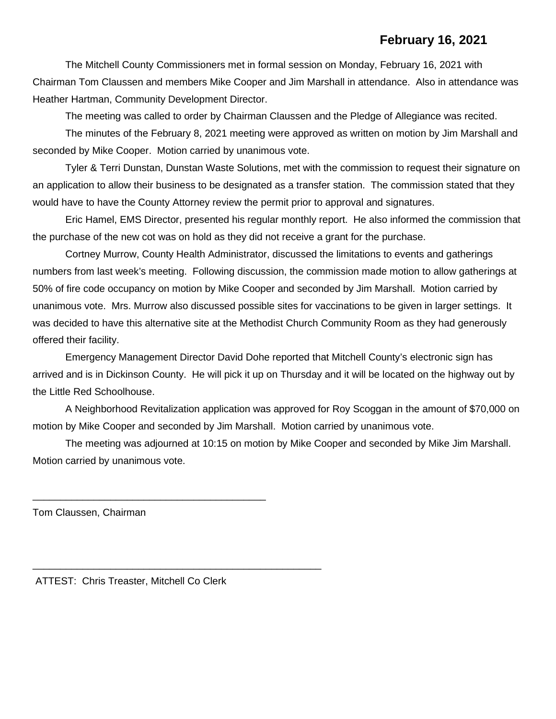## **February 16, 2021**

The Mitchell County Commissioners met in formal session on Monday, February 16, 2021 with Chairman Tom Claussen and members Mike Cooper and Jim Marshall in attendance. Also in attendance was Heather Hartman, Community Development Director.

The meeting was called to order by Chairman Claussen and the Pledge of Allegiance was recited.

The minutes of the February 8, 2021 meeting were approved as written on motion by Jim Marshall and seconded by Mike Cooper. Motion carried by unanimous vote.

Tyler & Terri Dunstan, Dunstan Waste Solutions, met with the commission to request their signature on an application to allow their business to be designated as a transfer station. The commission stated that they would have to have the County Attorney review the permit prior to approval and signatures.

Eric Hamel, EMS Director, presented his regular monthly report. He also informed the commission that the purchase of the new cot was on hold as they did not receive a grant for the purchase.

Cortney Murrow, County Health Administrator, discussed the limitations to events and gatherings numbers from last week's meeting. Following discussion, the commission made motion to allow gatherings at 50% of fire code occupancy on motion by Mike Cooper and seconded by Jim Marshall. Motion carried by unanimous vote. Mrs. Murrow also discussed possible sites for vaccinations to be given in larger settings. It was decided to have this alternative site at the Methodist Church Community Room as they had generously offered their facility.

Emergency Management Director David Dohe reported that Mitchell County's electronic sign has arrived and is in Dickinson County. He will pick it up on Thursday and it will be located on the highway out by the Little Red Schoolhouse.

A Neighborhood Revitalization application was approved for Roy Scoggan in the amount of \$70,000 on motion by Mike Cooper and seconded by Jim Marshall. Motion carried by unanimous vote.

The meeting was adjourned at 10:15 on motion by Mike Cooper and seconded by Mike Jim Marshall. Motion carried by unanimous vote.

Tom Claussen, Chairman

ATTEST: Chris Treaster, Mitchell Co Clerk

\_\_\_\_\_\_\_\_\_\_\_\_\_\_\_\_\_\_\_\_\_\_\_\_\_\_\_\_\_\_\_\_\_\_\_\_\_\_\_\_\_\_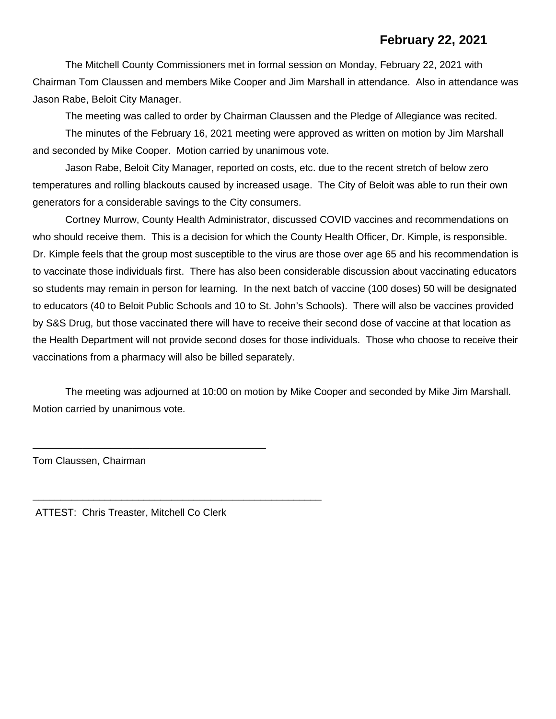## **February 22, 2021**

The Mitchell County Commissioners met in formal session on Monday, February 22, 2021 with Chairman Tom Claussen and members Mike Cooper and Jim Marshall in attendance. Also in attendance was Jason Rabe, Beloit City Manager.

The meeting was called to order by Chairman Claussen and the Pledge of Allegiance was recited.

The minutes of the February 16, 2021 meeting were approved as written on motion by Jim Marshall and seconded by Mike Cooper. Motion carried by unanimous vote.

Jason Rabe, Beloit City Manager, reported on costs, etc. due to the recent stretch of below zero temperatures and rolling blackouts caused by increased usage. The City of Beloit was able to run their own generators for a considerable savings to the City consumers.

Cortney Murrow, County Health Administrator, discussed COVID vaccines and recommendations on who should receive them. This is a decision for which the County Health Officer, Dr. Kimple, is responsible. Dr. Kimple feels that the group most susceptible to the virus are those over age 65 and his recommendation is to vaccinate those individuals first. There has also been considerable discussion about vaccinating educators so students may remain in person for learning. In the next batch of vaccine (100 doses) 50 will be designated to educators (40 to Beloit Public Schools and 10 to St. John's Schools). There will also be vaccines provided by S&S Drug, but those vaccinated there will have to receive their second dose of vaccine at that location as the Health Department will not provide second doses for those individuals. Those who choose to receive their vaccinations from a pharmacy will also be billed separately.

The meeting was adjourned at 10:00 on motion by Mike Cooper and seconded by Mike Jim Marshall. Motion carried by unanimous vote.

Tom Claussen, Chairman

ATTEST: Chris Treaster, Mitchell Co Clerk

\_\_\_\_\_\_\_\_\_\_\_\_\_\_\_\_\_\_\_\_\_\_\_\_\_\_\_\_\_\_\_\_\_\_\_\_\_\_\_\_\_\_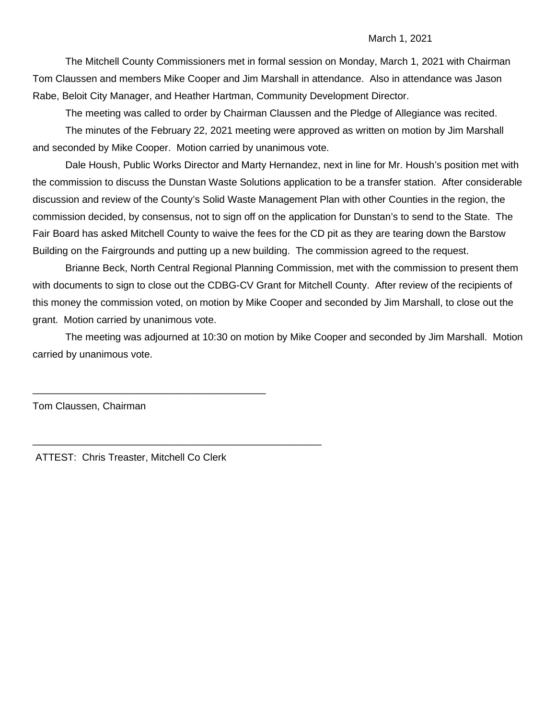#### March 1, 2021

The Mitchell County Commissioners met in formal session on Monday, March 1, 2021 with Chairman Tom Claussen and members Mike Cooper and Jim Marshall in attendance. Also in attendance was Jason Rabe, Beloit City Manager, and Heather Hartman, Community Development Director.

The meeting was called to order by Chairman Claussen and the Pledge of Allegiance was recited.

The minutes of the February 22, 2021 meeting were approved as written on motion by Jim Marshall and seconded by Mike Cooper. Motion carried by unanimous vote.

Dale Housh, Public Works Director and Marty Hernandez, next in line for Mr. Housh's position met with the commission to discuss the Dunstan Waste Solutions application to be a transfer station. After considerable discussion and review of the County's Solid Waste Management Plan with other Counties in the region, the commission decided, by consensus, not to sign off on the application for Dunstan's to send to the State. The Fair Board has asked Mitchell County to waive the fees for the CD pit as they are tearing down the Barstow Building on the Fairgrounds and putting up a new building. The commission agreed to the request.

Brianne Beck, North Central Regional Planning Commission, met with the commission to present them with documents to sign to close out the CDBG-CV Grant for Mitchell County. After review of the recipients of this money the commission voted, on motion by Mike Cooper and seconded by Jim Marshall, to close out the grant. Motion carried by unanimous vote.

The meeting was adjourned at 10:30 on motion by Mike Cooper and seconded by Jim Marshall. Motion carried by unanimous vote.

Tom Claussen, Chairman

ATTEST: Chris Treaster, Mitchell Co Clerk

\_\_\_\_\_\_\_\_\_\_\_\_\_\_\_\_\_\_\_\_\_\_\_\_\_\_\_\_\_\_\_\_\_\_\_\_\_\_\_\_\_\_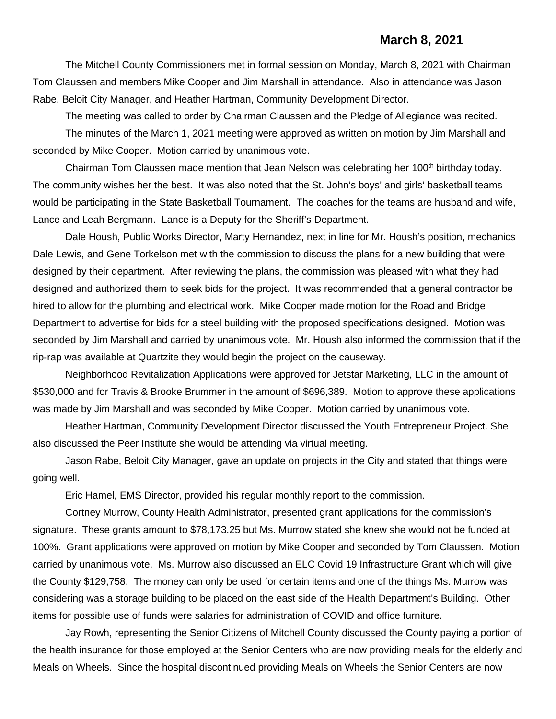#### **March 8, 2021**

The Mitchell County Commissioners met in formal session on Monday, March 8, 2021 with Chairman Tom Claussen and members Mike Cooper and Jim Marshall in attendance. Also in attendance was Jason Rabe, Beloit City Manager, and Heather Hartman, Community Development Director.

The meeting was called to order by Chairman Claussen and the Pledge of Allegiance was recited. The minutes of the March 1, 2021 meeting were approved as written on motion by Jim Marshall and seconded by Mike Cooper. Motion carried by unanimous vote.

Chairman Tom Claussen made mention that Jean Nelson was celebrating her 100<sup>th</sup> birthday today. The community wishes her the best. It was also noted that the St. John's boys' and girls' basketball teams would be participating in the State Basketball Tournament. The coaches for the teams are husband and wife, Lance and Leah Bergmann. Lance is a Deputy for the Sheriff's Department.

Dale Housh, Public Works Director, Marty Hernandez, next in line for Mr. Housh's position, mechanics Dale Lewis, and Gene Torkelson met with the commission to discuss the plans for a new building that were designed by their department. After reviewing the plans, the commission was pleased with what they had designed and authorized them to seek bids for the project. It was recommended that a general contractor be hired to allow for the plumbing and electrical work. Mike Cooper made motion for the Road and Bridge Department to advertise for bids for a steel building with the proposed specifications designed. Motion was seconded by Jim Marshall and carried by unanimous vote. Mr. Housh also informed the commission that if the rip-rap was available at Quartzite they would begin the project on the causeway.

Neighborhood Revitalization Applications were approved for Jetstar Marketing, LLC in the amount of \$530,000 and for Travis & Brooke Brummer in the amount of \$696,389. Motion to approve these applications was made by Jim Marshall and was seconded by Mike Cooper. Motion carried by unanimous vote.

Heather Hartman, Community Development Director discussed the Youth Entrepreneur Project. She also discussed the Peer Institute she would be attending via virtual meeting.

Jason Rabe, Beloit City Manager, gave an update on projects in the City and stated that things were going well.

Eric Hamel, EMS Director, provided his regular monthly report to the commission.

Cortney Murrow, County Health Administrator, presented grant applications for the commission's signature. These grants amount to \$78,173.25 but Ms. Murrow stated she knew she would not be funded at 100%. Grant applications were approved on motion by Mike Cooper and seconded by Tom Claussen. Motion carried by unanimous vote. Ms. Murrow also discussed an ELC Covid 19 Infrastructure Grant which will give the County \$129,758. The money can only be used for certain items and one of the things Ms. Murrow was considering was a storage building to be placed on the east side of the Health Department's Building. Other items for possible use of funds were salaries for administration of COVID and office furniture.

Jay Rowh, representing the Senior Citizens of Mitchell County discussed the County paying a portion of the health insurance for those employed at the Senior Centers who are now providing meals for the elderly and Meals on Wheels. Since the hospital discontinued providing Meals on Wheels the Senior Centers are now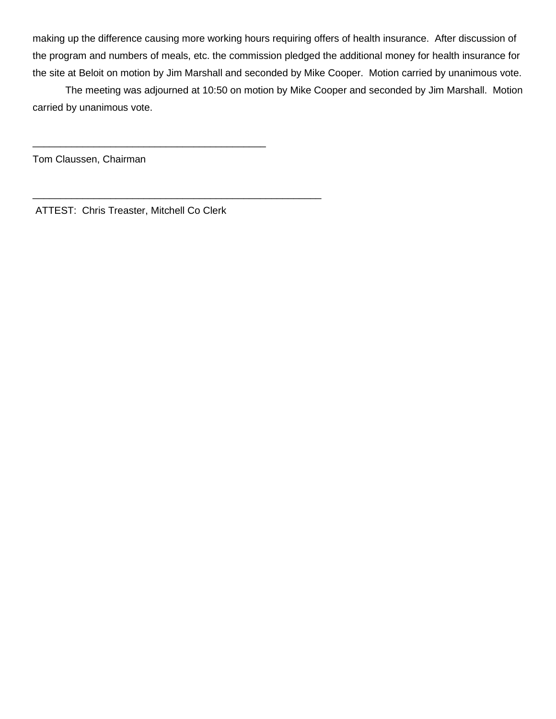making up the difference causing more working hours requiring offers of health insurance. After discussion of the program and numbers of meals, etc. the commission pledged the additional money for health insurance for the site at Beloit on motion by Jim Marshall and seconded by Mike Cooper. Motion carried by unanimous vote.

The meeting was adjourned at 10:50 on motion by Mike Cooper and seconded by Jim Marshall. Motion carried by unanimous vote.

Tom Claussen, Chairman

ATTEST: Chris Treaster, Mitchell Co Clerk

\_\_\_\_\_\_\_\_\_\_\_\_\_\_\_\_\_\_\_\_\_\_\_\_\_\_\_\_\_\_\_\_\_\_\_\_\_\_\_\_\_\_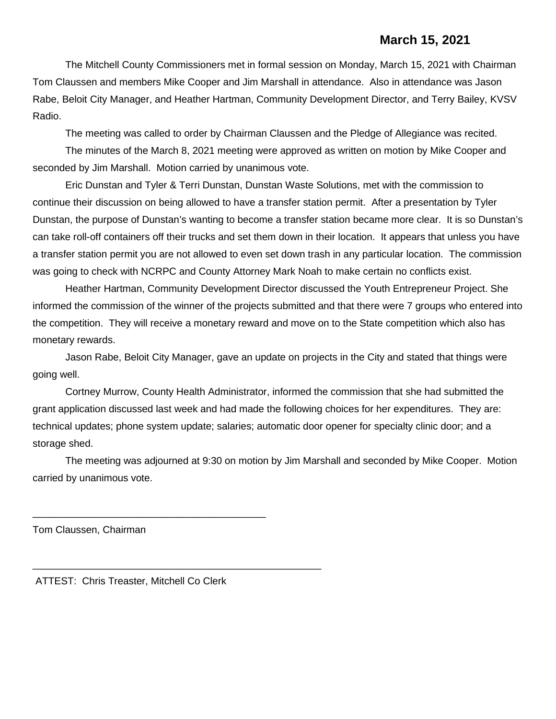### **March 15, 2021**

The Mitchell County Commissioners met in formal session on Monday, March 15, 2021 with Chairman Tom Claussen and members Mike Cooper and Jim Marshall in attendance. Also in attendance was Jason Rabe, Beloit City Manager, and Heather Hartman, Community Development Director, and Terry Bailey, KVSV Radio.

The meeting was called to order by Chairman Claussen and the Pledge of Allegiance was recited.

The minutes of the March 8, 2021 meeting were approved as written on motion by Mike Cooper and seconded by Jim Marshall. Motion carried by unanimous vote.

Eric Dunstan and Tyler & Terri Dunstan, Dunstan Waste Solutions, met with the commission to continue their discussion on being allowed to have a transfer station permit. After a presentation by Tyler Dunstan, the purpose of Dunstan's wanting to become a transfer station became more clear. It is so Dunstan's can take roll-off containers off their trucks and set them down in their location. It appears that unless you have a transfer station permit you are not allowed to even set down trash in any particular location. The commission was going to check with NCRPC and County Attorney Mark Noah to make certain no conflicts exist.

Heather Hartman, Community Development Director discussed the Youth Entrepreneur Project. She informed the commission of the winner of the projects submitted and that there were 7 groups who entered into the competition. They will receive a monetary reward and move on to the State competition which also has monetary rewards.

Jason Rabe, Beloit City Manager, gave an update on projects in the City and stated that things were going well.

Cortney Murrow, County Health Administrator, informed the commission that she had submitted the grant application discussed last week and had made the following choices for her expenditures. They are: technical updates; phone system update; salaries; automatic door opener for specialty clinic door; and a storage shed.

The meeting was adjourned at 9:30 on motion by Jim Marshall and seconded by Mike Cooper. Motion carried by unanimous vote.

Tom Claussen, Chairman

ATTEST: Chris Treaster, Mitchell Co Clerk

\_\_\_\_\_\_\_\_\_\_\_\_\_\_\_\_\_\_\_\_\_\_\_\_\_\_\_\_\_\_\_\_\_\_\_\_\_\_\_\_\_\_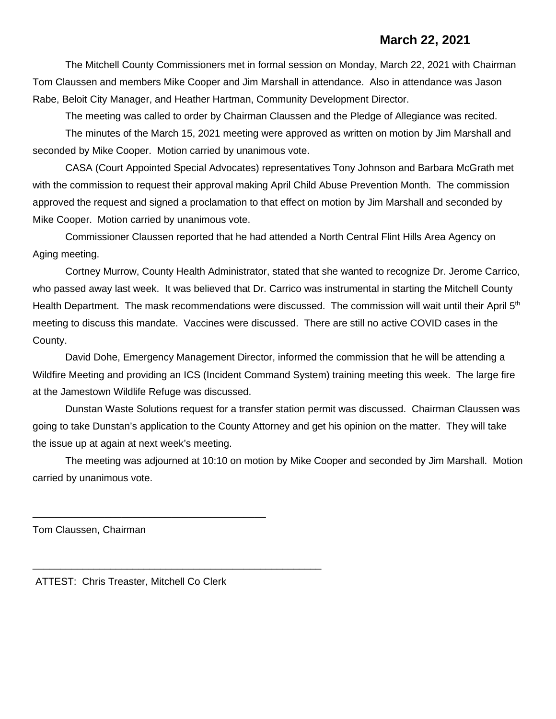### **March 22, 2021**

The Mitchell County Commissioners met in formal session on Monday, March 22, 2021 with Chairman Tom Claussen and members Mike Cooper and Jim Marshall in attendance. Also in attendance was Jason Rabe, Beloit City Manager, and Heather Hartman, Community Development Director.

The meeting was called to order by Chairman Claussen and the Pledge of Allegiance was recited. The minutes of the March 15, 2021 meeting were approved as written on motion by Jim Marshall and seconded by Mike Cooper. Motion carried by unanimous vote.

CASA (Court Appointed Special Advocates) representatives Tony Johnson and Barbara McGrath met with the commission to request their approval making April Child Abuse Prevention Month. The commission approved the request and signed a proclamation to that effect on motion by Jim Marshall and seconded by Mike Cooper. Motion carried by unanimous vote.

Commissioner Claussen reported that he had attended a North Central Flint Hills Area Agency on Aging meeting.

Cortney Murrow, County Health Administrator, stated that she wanted to recognize Dr. Jerome Carrico, who passed away last week. It was believed that Dr. Carrico was instrumental in starting the Mitchell County Health Department. The mask recommendations were discussed. The commission will wait until their April 5<sup>th</sup> meeting to discuss this mandate. Vaccines were discussed. There are still no active COVID cases in the County.

David Dohe, Emergency Management Director, informed the commission that he will be attending a Wildfire Meeting and providing an ICS (Incident Command System) training meeting this week. The large fire at the Jamestown Wildlife Refuge was discussed.

Dunstan Waste Solutions request for a transfer station permit was discussed. Chairman Claussen was going to take Dunstan's application to the County Attorney and get his opinion on the matter. They will take the issue up at again at next week's meeting.

The meeting was adjourned at 10:10 on motion by Mike Cooper and seconded by Jim Marshall. Motion carried by unanimous vote.

Tom Claussen, Chairman

ATTEST: Chris Treaster, Mitchell Co Clerk

\_\_\_\_\_\_\_\_\_\_\_\_\_\_\_\_\_\_\_\_\_\_\_\_\_\_\_\_\_\_\_\_\_\_\_\_\_\_\_\_\_\_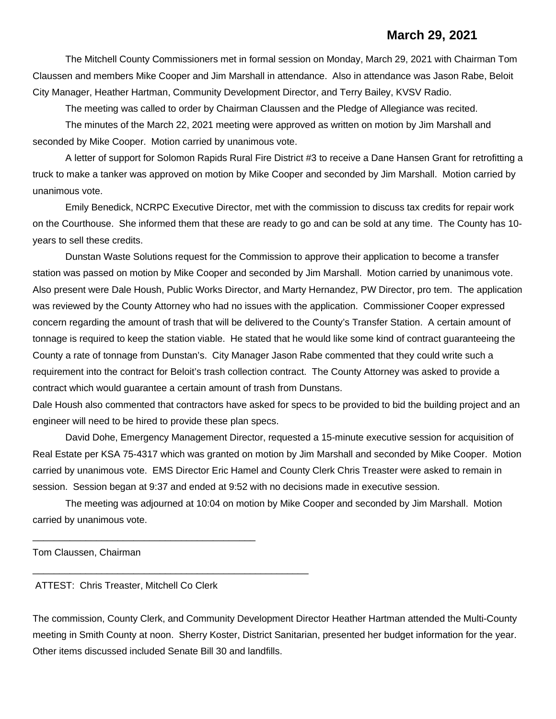#### **March 29, 2021**

The Mitchell County Commissioners met in formal session on Monday, March 29, 2021 with Chairman Tom Claussen and members Mike Cooper and Jim Marshall in attendance. Also in attendance was Jason Rabe, Beloit City Manager, Heather Hartman, Community Development Director, and Terry Bailey, KVSV Radio.

The meeting was called to order by Chairman Claussen and the Pledge of Allegiance was recited.

The minutes of the March 22, 2021 meeting were approved as written on motion by Jim Marshall and seconded by Mike Cooper. Motion carried by unanimous vote.

A letter of support for Solomon Rapids Rural Fire District #3 to receive a Dane Hansen Grant for retrofitting a truck to make a tanker was approved on motion by Mike Cooper and seconded by Jim Marshall. Motion carried by unanimous vote.

Emily Benedick, NCRPC Executive Director, met with the commission to discuss tax credits for repair work on the Courthouse. She informed them that these are ready to go and can be sold at any time. The County has 10 years to sell these credits.

Dunstan Waste Solutions request for the Commission to approve their application to become a transfer station was passed on motion by Mike Cooper and seconded by Jim Marshall. Motion carried by unanimous vote. Also present were Dale Housh, Public Works Director, and Marty Hernandez, PW Director, pro tem. The application was reviewed by the County Attorney who had no issues with the application. Commissioner Cooper expressed concern regarding the amount of trash that will be delivered to the County's Transfer Station. A certain amount of tonnage is required to keep the station viable. He stated that he would like some kind of contract guaranteeing the County a rate of tonnage from Dunstan's. City Manager Jason Rabe commented that they could write such a requirement into the contract for Beloit's trash collection contract. The County Attorney was asked to provide a contract which would guarantee a certain amount of trash from Dunstans.

Dale Housh also commented that contractors have asked for specs to be provided to bid the building project and an engineer will need to be hired to provide these plan specs.

David Dohe, Emergency Management Director, requested a 15-minute executive session for acquisition of Real Estate per KSA 75-4317 which was granted on motion by Jim Marshall and seconded by Mike Cooper. Motion carried by unanimous vote. EMS Director Eric Hamel and County Clerk Chris Treaster were asked to remain in session. Session began at 9:37 and ended at 9:52 with no decisions made in executive session.

The meeting was adjourned at 10:04 on motion by Mike Cooper and seconded by Jim Marshall. Motion carried by unanimous vote.

Tom Claussen, Chairman

ATTEST: Chris Treaster, Mitchell Co Clerk

\_\_\_\_\_\_\_\_\_\_\_\_\_\_\_\_\_\_\_\_\_\_\_\_\_\_\_\_\_\_\_\_\_\_\_\_\_\_\_\_\_\_

\_\_\_\_\_\_\_\_\_\_\_\_\_\_\_\_\_\_\_\_\_\_\_\_\_\_\_\_\_\_\_\_\_\_\_\_\_\_\_\_\_\_\_\_\_\_\_\_\_\_\_\_

The commission, County Clerk, and Community Development Director Heather Hartman attended the Multi-County meeting in Smith County at noon. Sherry Koster, District Sanitarian, presented her budget information for the year. Other items discussed included Senate Bill 30 and landfills.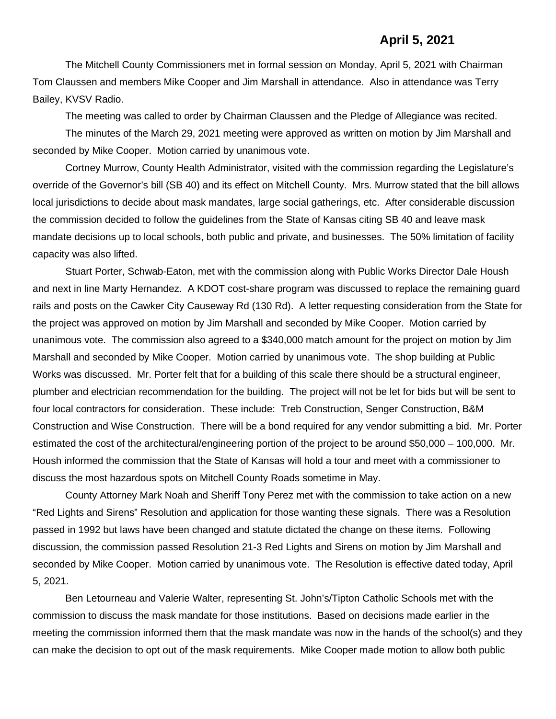The Mitchell County Commissioners met in formal session on Monday, April 5, 2021 with Chairman Tom Claussen and members Mike Cooper and Jim Marshall in attendance. Also in attendance was Terry Bailey, KVSV Radio.

The meeting was called to order by Chairman Claussen and the Pledge of Allegiance was recited.

The minutes of the March 29, 2021 meeting were approved as written on motion by Jim Marshall and seconded by Mike Cooper. Motion carried by unanimous vote.

Cortney Murrow, County Health Administrator, visited with the commission regarding the Legislature's override of the Governor's bill (SB 40) and its effect on Mitchell County. Mrs. Murrow stated that the bill allows local jurisdictions to decide about mask mandates, large social gatherings, etc. After considerable discussion the commission decided to follow the guidelines from the State of Kansas citing SB 40 and leave mask mandate decisions up to local schools, both public and private, and businesses. The 50% limitation of facility capacity was also lifted.

Stuart Porter, Schwab-Eaton, met with the commission along with Public Works Director Dale Housh and next in line Marty Hernandez. A KDOT cost-share program was discussed to replace the remaining guard rails and posts on the Cawker City Causeway Rd (130 Rd). A letter requesting consideration from the State for the project was approved on motion by Jim Marshall and seconded by Mike Cooper. Motion carried by unanimous vote. The commission also agreed to a \$340,000 match amount for the project on motion by Jim Marshall and seconded by Mike Cooper. Motion carried by unanimous vote. The shop building at Public Works was discussed. Mr. Porter felt that for a building of this scale there should be a structural engineer, plumber and electrician recommendation for the building. The project will not be let for bids but will be sent to four local contractors for consideration. These include: Treb Construction, Senger Construction, B&M Construction and Wise Construction. There will be a bond required for any vendor submitting a bid. Mr. Porter estimated the cost of the architectural/engineering portion of the project to be around \$50,000 – 100,000. Mr. Housh informed the commission that the State of Kansas will hold a tour and meet with a commissioner to discuss the most hazardous spots on Mitchell County Roads sometime in May.

County Attorney Mark Noah and Sheriff Tony Perez met with the commission to take action on a new "Red Lights and Sirens" Resolution and application for those wanting these signals. There was a Resolution passed in 1992 but laws have been changed and statute dictated the change on these items. Following discussion, the commission passed Resolution 21-3 Red Lights and Sirens on motion by Jim Marshall and seconded by Mike Cooper. Motion carried by unanimous vote. The Resolution is effective dated today, April 5, 2021.

Ben Letourneau and Valerie Walter, representing St. John's/Tipton Catholic Schools met with the commission to discuss the mask mandate for those institutions. Based on decisions made earlier in the meeting the commission informed them that the mask mandate was now in the hands of the school(s) and they can make the decision to opt out of the mask requirements. Mike Cooper made motion to allow both public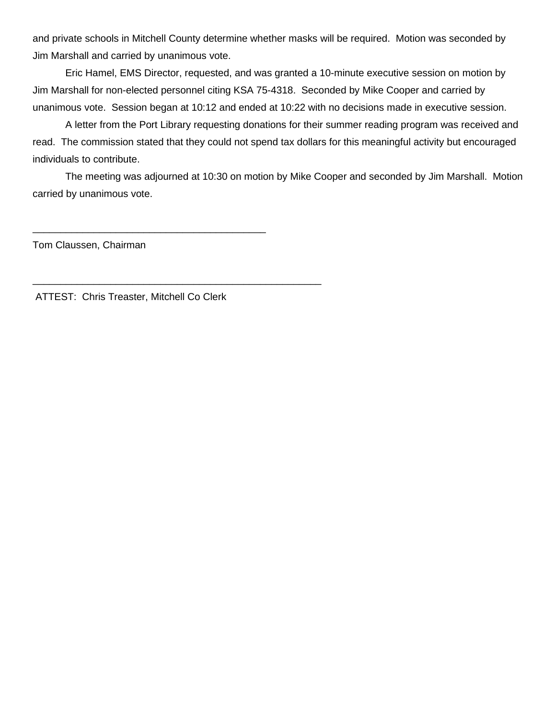and private schools in Mitchell County determine whether masks will be required. Motion was seconded by Jim Marshall and carried by unanimous vote.

Eric Hamel, EMS Director, requested, and was granted a 10-minute executive session on motion by Jim Marshall for non-elected personnel citing KSA 75-4318. Seconded by Mike Cooper and carried by unanimous vote. Session began at 10:12 and ended at 10:22 with no decisions made in executive session.

A letter from the Port Library requesting donations for their summer reading program was received and read. The commission stated that they could not spend tax dollars for this meaningful activity but encouraged individuals to contribute.

The meeting was adjourned at 10:30 on motion by Mike Cooper and seconded by Jim Marshall. Motion carried by unanimous vote.

Tom Claussen, Chairman

ATTEST: Chris Treaster, Mitchell Co Clerk

\_\_\_\_\_\_\_\_\_\_\_\_\_\_\_\_\_\_\_\_\_\_\_\_\_\_\_\_\_\_\_\_\_\_\_\_\_\_\_\_\_\_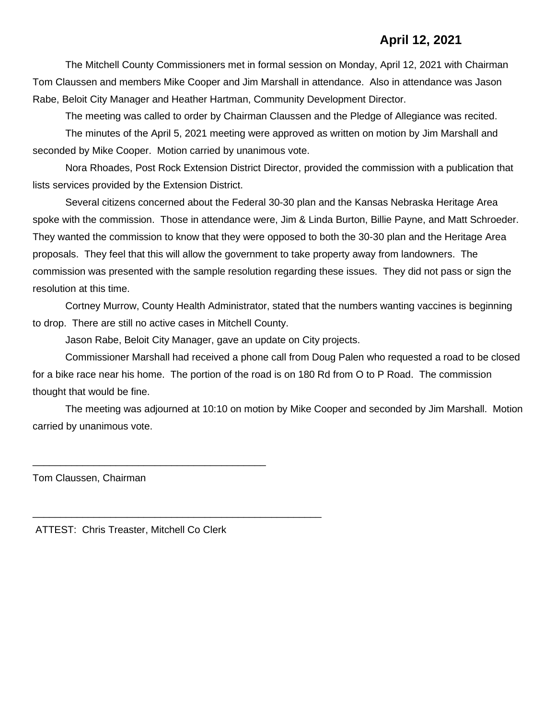## **April 12, 2021**

The Mitchell County Commissioners met in formal session on Monday, April 12, 2021 with Chairman Tom Claussen and members Mike Cooper and Jim Marshall in attendance. Also in attendance was Jason Rabe, Beloit City Manager and Heather Hartman, Community Development Director.

The meeting was called to order by Chairman Claussen and the Pledge of Allegiance was recited.

The minutes of the April 5, 2021 meeting were approved as written on motion by Jim Marshall and seconded by Mike Cooper. Motion carried by unanimous vote.

Nora Rhoades, Post Rock Extension District Director, provided the commission with a publication that lists services provided by the Extension District.

Several citizens concerned about the Federal 30-30 plan and the Kansas Nebraska Heritage Area spoke with the commission. Those in attendance were, Jim & Linda Burton, Billie Payne, and Matt Schroeder. They wanted the commission to know that they were opposed to both the 30-30 plan and the Heritage Area proposals. They feel that this will allow the government to take property away from landowners. The commission was presented with the sample resolution regarding these issues. They did not pass or sign the resolution at this time.

Cortney Murrow, County Health Administrator, stated that the numbers wanting vaccines is beginning to drop. There are still no active cases in Mitchell County.

Jason Rabe, Beloit City Manager, gave an update on City projects.

Commissioner Marshall had received a phone call from Doug Palen who requested a road to be closed for a bike race near his home. The portion of the road is on 180 Rd from O to P Road. The commission thought that would be fine.

The meeting was adjourned at 10:10 on motion by Mike Cooper and seconded by Jim Marshall. Motion carried by unanimous vote.

Tom Claussen, Chairman

ATTEST: Chris Treaster, Mitchell Co Clerk

\_\_\_\_\_\_\_\_\_\_\_\_\_\_\_\_\_\_\_\_\_\_\_\_\_\_\_\_\_\_\_\_\_\_\_\_\_\_\_\_\_\_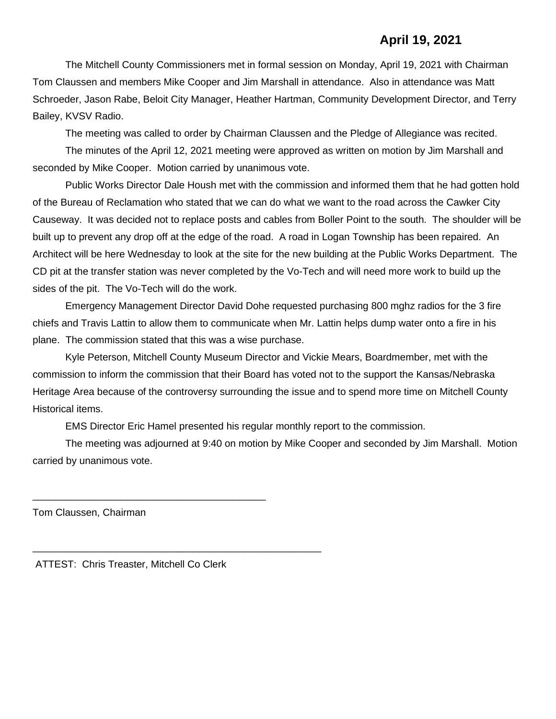## **April 19, 2021**

The Mitchell County Commissioners met in formal session on Monday, April 19, 2021 with Chairman Tom Claussen and members Mike Cooper and Jim Marshall in attendance. Also in attendance was Matt Schroeder, Jason Rabe, Beloit City Manager, Heather Hartman, Community Development Director, and Terry Bailey, KVSV Radio.

The meeting was called to order by Chairman Claussen and the Pledge of Allegiance was recited.

The minutes of the April 12, 2021 meeting were approved as written on motion by Jim Marshall and seconded by Mike Cooper. Motion carried by unanimous vote.

Public Works Director Dale Housh met with the commission and informed them that he had gotten hold of the Bureau of Reclamation who stated that we can do what we want to the road across the Cawker City Causeway. It was decided not to replace posts and cables from Boller Point to the south. The shoulder will be built up to prevent any drop off at the edge of the road. A road in Logan Township has been repaired. An Architect will be here Wednesday to look at the site for the new building at the Public Works Department. The CD pit at the transfer station was never completed by the Vo-Tech and will need more work to build up the sides of the pit. The Vo-Tech will do the work.

Emergency Management Director David Dohe requested purchasing 800 mghz radios for the 3 fire chiefs and Travis Lattin to allow them to communicate when Mr. Lattin helps dump water onto a fire in his plane. The commission stated that this was a wise purchase.

Kyle Peterson, Mitchell County Museum Director and Vickie Mears, Boardmember, met with the commission to inform the commission that their Board has voted not to the support the Kansas/Nebraska Heritage Area because of the controversy surrounding the issue and to spend more time on Mitchell County Historical items.

EMS Director Eric Hamel presented his regular monthly report to the commission.

The meeting was adjourned at 9:40 on motion by Mike Cooper and seconded by Jim Marshall. Motion carried by unanimous vote.

Tom Claussen, Chairman

ATTEST: Chris Treaster, Mitchell Co Clerk

\_\_\_\_\_\_\_\_\_\_\_\_\_\_\_\_\_\_\_\_\_\_\_\_\_\_\_\_\_\_\_\_\_\_\_\_\_\_\_\_\_\_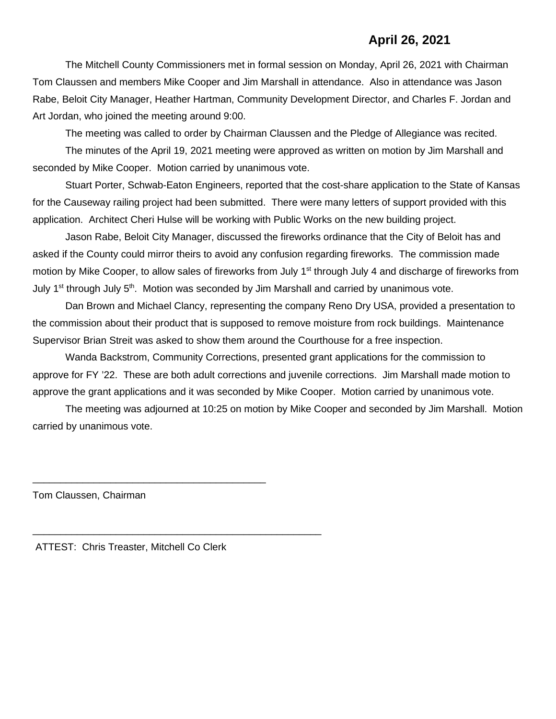### **April 26, 2021**

The Mitchell County Commissioners met in formal session on Monday, April 26, 2021 with Chairman Tom Claussen and members Mike Cooper and Jim Marshall in attendance. Also in attendance was Jason Rabe, Beloit City Manager, Heather Hartman, Community Development Director, and Charles F. Jordan and Art Jordan, who joined the meeting around 9:00.

The meeting was called to order by Chairman Claussen and the Pledge of Allegiance was recited.

The minutes of the April 19, 2021 meeting were approved as written on motion by Jim Marshall and seconded by Mike Cooper. Motion carried by unanimous vote.

Stuart Porter, Schwab-Eaton Engineers, reported that the cost-share application to the State of Kansas for the Causeway railing project had been submitted. There were many letters of support provided with this application. Architect Cheri Hulse will be working with Public Works on the new building project.

Jason Rabe, Beloit City Manager, discussed the fireworks ordinance that the City of Beloit has and asked if the County could mirror theirs to avoid any confusion regarding fireworks. The commission made motion by Mike Cooper, to allow sales of fireworks from July 1<sup>st</sup> through July 4 and discharge of fireworks from July 1<sup>st</sup> through July  $5<sup>th</sup>$ . Motion was seconded by Jim Marshall and carried by unanimous vote.

Dan Brown and Michael Clancy, representing the company Reno Dry USA, provided a presentation to the commission about their product that is supposed to remove moisture from rock buildings. Maintenance Supervisor Brian Streit was asked to show them around the Courthouse for a free inspection.

Wanda Backstrom, Community Corrections, presented grant applications for the commission to approve for FY '22. These are both adult corrections and juvenile corrections. Jim Marshall made motion to approve the grant applications and it was seconded by Mike Cooper. Motion carried by unanimous vote.

The meeting was adjourned at 10:25 on motion by Mike Cooper and seconded by Jim Marshall. Motion carried by unanimous vote.

Tom Claussen, Chairman

ATTEST: Chris Treaster, Mitchell Co Clerk

\_\_\_\_\_\_\_\_\_\_\_\_\_\_\_\_\_\_\_\_\_\_\_\_\_\_\_\_\_\_\_\_\_\_\_\_\_\_\_\_\_\_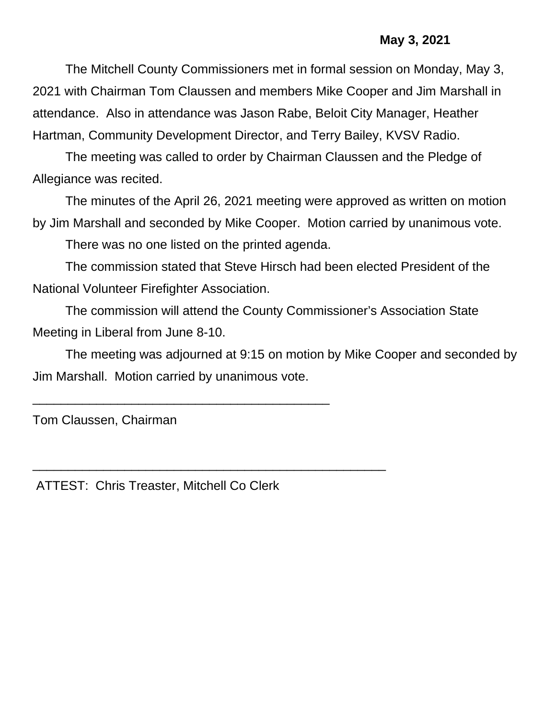## **May 3, 2021**

The Mitchell County Commissioners met in formal session on Monday, May 3, 2021 with Chairman Tom Claussen and members Mike Cooper and Jim Marshall in attendance. Also in attendance was Jason Rabe, Beloit City Manager, Heather Hartman, Community Development Director, and Terry Bailey, KVSV Radio.

The meeting was called to order by Chairman Claussen and the Pledge of Allegiance was recited.

The minutes of the April 26, 2021 meeting were approved as written on motion by Jim Marshall and seconded by Mike Cooper. Motion carried by unanimous vote.

There was no one listed on the printed agenda.

The commission stated that Steve Hirsch had been elected President of the National Volunteer Firefighter Association.

The commission will attend the County Commissioner's Association State Meeting in Liberal from June 8-10.

The meeting was adjourned at 9:15 on motion by Mike Cooper and seconded by Jim Marshall. Motion carried by unanimous vote.

Tom Claussen, Chairman

ATTEST: Chris Treaster, Mitchell Co Clerk

\_\_\_\_\_\_\_\_\_\_\_\_\_\_\_\_\_\_\_\_\_\_\_\_\_\_\_\_\_\_\_\_\_\_\_\_\_\_\_\_\_\_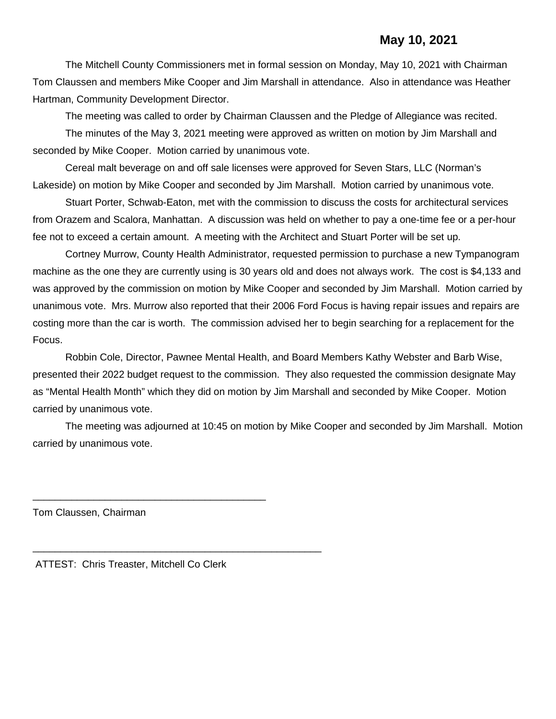The Mitchell County Commissioners met in formal session on Monday, May 10, 2021 with Chairman Tom Claussen and members Mike Cooper and Jim Marshall in attendance. Also in attendance was Heather Hartman, Community Development Director.

The meeting was called to order by Chairman Claussen and the Pledge of Allegiance was recited.

The minutes of the May 3, 2021 meeting were approved as written on motion by Jim Marshall and seconded by Mike Cooper. Motion carried by unanimous vote.

Cereal malt beverage on and off sale licenses were approved for Seven Stars, LLC (Norman's Lakeside) on motion by Mike Cooper and seconded by Jim Marshall. Motion carried by unanimous vote.

Stuart Porter, Schwab-Eaton, met with the commission to discuss the costs for architectural services from Orazem and Scalora, Manhattan. A discussion was held on whether to pay a one-time fee or a per-hour fee not to exceed a certain amount. A meeting with the Architect and Stuart Porter will be set up.

Cortney Murrow, County Health Administrator, requested permission to purchase a new Tympanogram machine as the one they are currently using is 30 years old and does not always work. The cost is \$4,133 and was approved by the commission on motion by Mike Cooper and seconded by Jim Marshall. Motion carried by unanimous vote. Mrs. Murrow also reported that their 2006 Ford Focus is having repair issues and repairs are costing more than the car is worth. The commission advised her to begin searching for a replacement for the Focus.

Robbin Cole, Director, Pawnee Mental Health, and Board Members Kathy Webster and Barb Wise, presented their 2022 budget request to the commission. They also requested the commission designate May as "Mental Health Month" which they did on motion by Jim Marshall and seconded by Mike Cooper. Motion carried by unanimous vote.

The meeting was adjourned at 10:45 on motion by Mike Cooper and seconded by Jim Marshall. Motion carried by unanimous vote.

Tom Claussen, Chairman

ATTEST: Chris Treaster, Mitchell Co Clerk

\_\_\_\_\_\_\_\_\_\_\_\_\_\_\_\_\_\_\_\_\_\_\_\_\_\_\_\_\_\_\_\_\_\_\_\_\_\_\_\_\_\_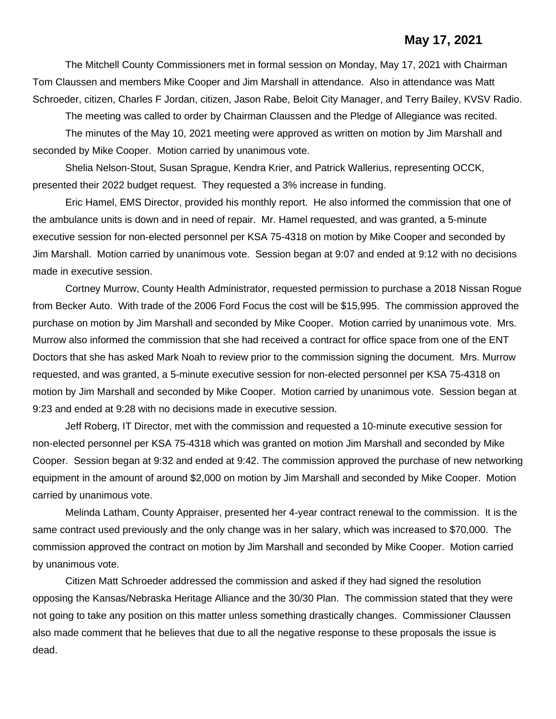#### **May 17, 2021**

The Mitchell County Commissioners met in formal session on Monday, May 17, 2021 with Chairman Tom Claussen and members Mike Cooper and Jim Marshall in attendance. Also in attendance was Matt Schroeder, citizen, Charles F Jordan, citizen, Jason Rabe, Beloit City Manager, and Terry Bailey, KVSV Radio.

The meeting was called to order by Chairman Claussen and the Pledge of Allegiance was recited.

The minutes of the May 10, 2021 meeting were approved as written on motion by Jim Marshall and seconded by Mike Cooper. Motion carried by unanimous vote.

Shelia Nelson-Stout, Susan Sprague, Kendra Krier, and Patrick Wallerius, representing OCCK, presented their 2022 budget request. They requested a 3% increase in funding.

Eric Hamel, EMS Director, provided his monthly report. He also informed the commission that one of the ambulance units is down and in need of repair. Mr. Hamel requested, and was granted, a 5-minute executive session for non-elected personnel per KSA 75-4318 on motion by Mike Cooper and seconded by Jim Marshall. Motion carried by unanimous vote. Session began at 9:07 and ended at 9:12 with no decisions made in executive session.

Cortney Murrow, County Health Administrator, requested permission to purchase a 2018 Nissan Rogue from Becker Auto. With trade of the 2006 Ford Focus the cost will be \$15,995. The commission approved the purchase on motion by Jim Marshall and seconded by Mike Cooper. Motion carried by unanimous vote. Mrs. Murrow also informed the commission that she had received a contract for office space from one of the ENT Doctors that she has asked Mark Noah to review prior to the commission signing the document. Mrs. Murrow requested, and was granted, a 5-minute executive session for non-elected personnel per KSA 75-4318 on motion by Jim Marshall and seconded by Mike Cooper. Motion carried by unanimous vote. Session began at 9:23 and ended at 9:28 with no decisions made in executive session.

Jeff Roberg, IT Director, met with the commission and requested a 10-minute executive session for non-elected personnel per KSA 75-4318 which was granted on motion Jim Marshall and seconded by Mike Cooper. Session began at 9:32 and ended at 9:42. The commission approved the purchase of new networking equipment in the amount of around \$2,000 on motion by Jim Marshall and seconded by Mike Cooper. Motion carried by unanimous vote.

Melinda Latham, County Appraiser, presented her 4-year contract renewal to the commission. It is the same contract used previously and the only change was in her salary, which was increased to \$70,000. The commission approved the contract on motion by Jim Marshall and seconded by Mike Cooper. Motion carried by unanimous vote.

Citizen Matt Schroeder addressed the commission and asked if they had signed the resolution opposing the Kansas/Nebraska Heritage Alliance and the 30/30 Plan. The commission stated that they were not going to take any position on this matter unless something drastically changes. Commissioner Claussen also made comment that he believes that due to all the negative response to these proposals the issue is dead.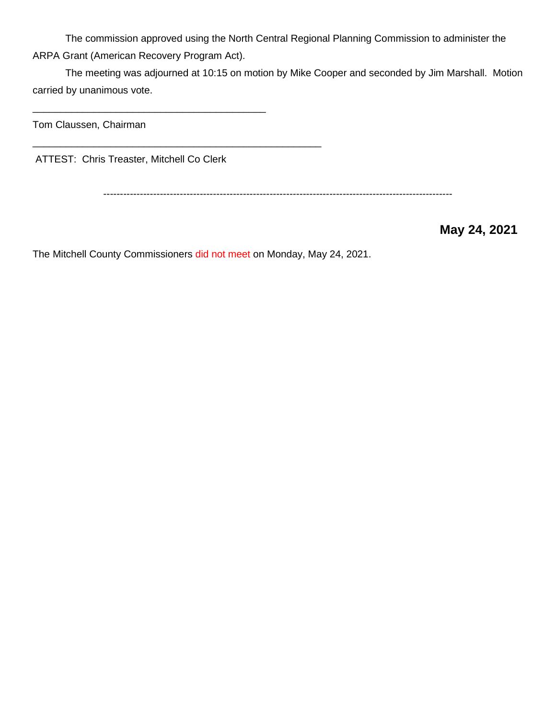The commission approved using the North Central Regional Planning Commission to administer the ARPA Grant (American Recovery Program Act).

The meeting was adjourned at 10:15 on motion by Mike Cooper and seconded by Jim Marshall. Motion carried by unanimous vote.

Tom Claussen, Chairman

ATTEST: Chris Treaster, Mitchell Co Clerk

\_\_\_\_\_\_\_\_\_\_\_\_\_\_\_\_\_\_\_\_\_\_\_\_\_\_\_\_\_\_\_\_\_\_\_\_\_\_\_\_\_\_

\_\_\_\_\_\_\_\_\_\_\_\_\_\_\_\_\_\_\_\_\_\_\_\_\_\_\_\_\_\_\_\_\_\_\_\_\_\_\_\_\_\_\_\_\_\_\_\_\_\_\_\_

---------------------------------------------------------------------------------------------------------

 **May 24, 2021**

The Mitchell County Commissioners did not meet on Monday, May 24, 2021.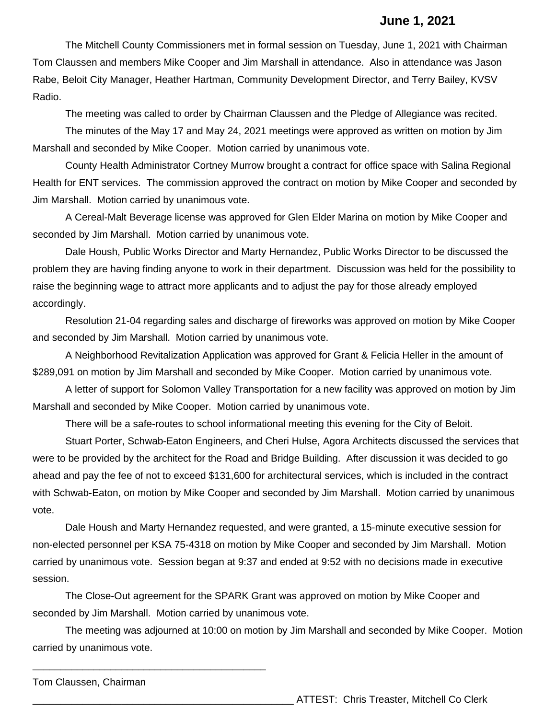#### **June 1, 2021**

The Mitchell County Commissioners met in formal session on Tuesday, June 1, 2021 with Chairman Tom Claussen and members Mike Cooper and Jim Marshall in attendance. Also in attendance was Jason Rabe, Beloit City Manager, Heather Hartman, Community Development Director, and Terry Bailey, KVSV Radio.

The meeting was called to order by Chairman Claussen and the Pledge of Allegiance was recited.

The minutes of the May 17 and May 24, 2021 meetings were approved as written on motion by Jim Marshall and seconded by Mike Cooper. Motion carried by unanimous vote.

County Health Administrator Cortney Murrow brought a contract for office space with Salina Regional Health for ENT services. The commission approved the contract on motion by Mike Cooper and seconded by Jim Marshall. Motion carried by unanimous vote.

A Cereal-Malt Beverage license was approved for Glen Elder Marina on motion by Mike Cooper and seconded by Jim Marshall. Motion carried by unanimous vote.

Dale Housh, Public Works Director and Marty Hernandez, Public Works Director to be discussed the problem they are having finding anyone to work in their department. Discussion was held for the possibility to raise the beginning wage to attract more applicants and to adjust the pay for those already employed accordingly.

Resolution 21-04 regarding sales and discharge of fireworks was approved on motion by Mike Cooper and seconded by Jim Marshall. Motion carried by unanimous vote.

A Neighborhood Revitalization Application was approved for Grant & Felicia Heller in the amount of \$289,091 on motion by Jim Marshall and seconded by Mike Cooper. Motion carried by unanimous vote.

A letter of support for Solomon Valley Transportation for a new facility was approved on motion by Jim Marshall and seconded by Mike Cooper. Motion carried by unanimous vote.

There will be a safe-routes to school informational meeting this evening for the City of Beloit.

Stuart Porter, Schwab-Eaton Engineers, and Cheri Hulse, Agora Architects discussed the services that were to be provided by the architect for the Road and Bridge Building. After discussion it was decided to go ahead and pay the fee of not to exceed \$131,600 for architectural services, which is included in the contract with Schwab-Eaton, on motion by Mike Cooper and seconded by Jim Marshall. Motion carried by unanimous vote.

Dale Housh and Marty Hernandez requested, and were granted, a 15-minute executive session for non-elected personnel per KSA 75-4318 on motion by Mike Cooper and seconded by Jim Marshall. Motion carried by unanimous vote. Session began at 9:37 and ended at 9:52 with no decisions made in executive session.

The Close-Out agreement for the SPARK Grant was approved on motion by Mike Cooper and seconded by Jim Marshall. Motion carried by unanimous vote.

The meeting was adjourned at 10:00 on motion by Jim Marshall and seconded by Mike Cooper. Motion carried by unanimous vote.

Tom Claussen, Chairman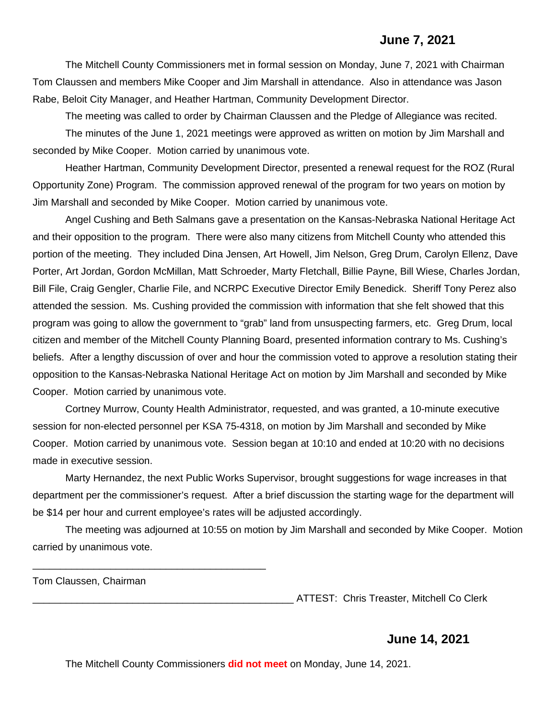#### **June 7, 2021**

The Mitchell County Commissioners met in formal session on Monday, June 7, 2021 with Chairman Tom Claussen and members Mike Cooper and Jim Marshall in attendance. Also in attendance was Jason Rabe, Beloit City Manager, and Heather Hartman, Community Development Director.

The meeting was called to order by Chairman Claussen and the Pledge of Allegiance was recited. The minutes of the June 1, 2021 meetings were approved as written on motion by Jim Marshall and seconded by Mike Cooper. Motion carried by unanimous vote.

Heather Hartman, Community Development Director, presented a renewal request for the ROZ (Rural Opportunity Zone) Program. The commission approved renewal of the program for two years on motion by Jim Marshall and seconded by Mike Cooper. Motion carried by unanimous vote.

Angel Cushing and Beth Salmans gave a presentation on the Kansas-Nebraska National Heritage Act and their opposition to the program. There were also many citizens from Mitchell County who attended this portion of the meeting. They included Dina Jensen, Art Howell, Jim Nelson, Greg Drum, Carolyn Ellenz, Dave Porter, Art Jordan, Gordon McMillan, Matt Schroeder, Marty Fletchall, Billie Payne, Bill Wiese, Charles Jordan, Bill File, Craig Gengler, Charlie File, and NCRPC Executive Director Emily Benedick. Sheriff Tony Perez also attended the session. Ms. Cushing provided the commission with information that she felt showed that this program was going to allow the government to "grab" land from unsuspecting farmers, etc. Greg Drum, local citizen and member of the Mitchell County Planning Board, presented information contrary to Ms. Cushing's beliefs. After a lengthy discussion of over and hour the commission voted to approve a resolution stating their opposition to the Kansas-Nebraska National Heritage Act on motion by Jim Marshall and seconded by Mike Cooper. Motion carried by unanimous vote.

Cortney Murrow, County Health Administrator, requested, and was granted, a 10-minute executive session for non-elected personnel per KSA 75-4318, on motion by Jim Marshall and seconded by Mike Cooper. Motion carried by unanimous vote. Session began at 10:10 and ended at 10:20 with no decisions made in executive session.

Marty Hernandez, the next Public Works Supervisor, brought suggestions for wage increases in that department per the commissioner's request. After a brief discussion the starting wage for the department will be \$14 per hour and current employee's rates will be adjusted accordingly.

The meeting was adjourned at 10:55 on motion by Jim Marshall and seconded by Mike Cooper. Motion carried by unanimous vote.

Tom Claussen, Chairman

\_\_\_\_\_\_\_\_\_\_\_\_\_\_\_\_\_\_\_\_\_\_\_\_\_\_\_\_\_\_\_\_\_\_\_\_\_\_\_\_\_\_

\_\_\_\_\_\_\_\_\_\_\_\_\_\_\_\_\_\_\_\_\_\_\_\_\_\_\_\_\_\_\_\_\_\_\_\_\_\_\_\_\_\_\_\_\_\_\_ ATTEST: Chris Treaster, Mitchell Co Clerk

#### **June 14, 2021**

The Mitchell County Commissioners **did not meet** on Monday, June 14, 2021.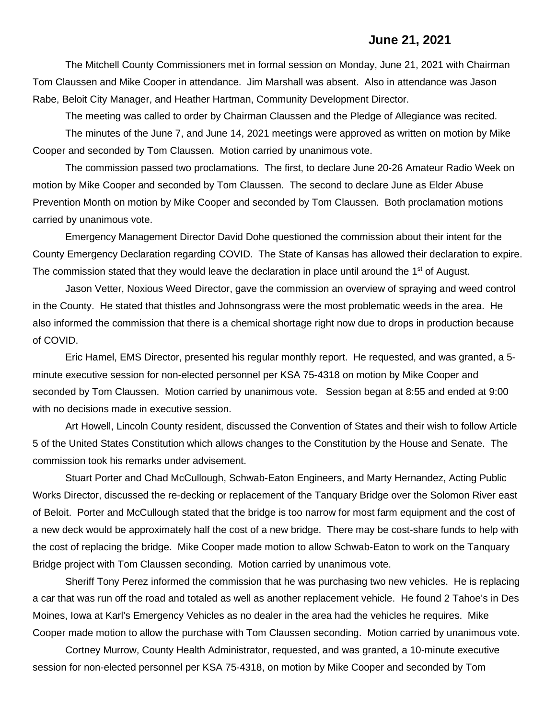#### **June 21, 2021**

The Mitchell County Commissioners met in formal session on Monday, June 21, 2021 with Chairman Tom Claussen and Mike Cooper in attendance. Jim Marshall was absent. Also in attendance was Jason Rabe, Beloit City Manager, and Heather Hartman, Community Development Director.

The meeting was called to order by Chairman Claussen and the Pledge of Allegiance was recited. The minutes of the June 7, and June 14, 2021 meetings were approved as written on motion by Mike Cooper and seconded by Tom Claussen. Motion carried by unanimous vote.

The commission passed two proclamations. The first, to declare June 20-26 Amateur Radio Week on motion by Mike Cooper and seconded by Tom Claussen. The second to declare June as Elder Abuse Prevention Month on motion by Mike Cooper and seconded by Tom Claussen. Both proclamation motions carried by unanimous vote.

Emergency Management Director David Dohe questioned the commission about their intent for the County Emergency Declaration regarding COVID. The State of Kansas has allowed their declaration to expire. The commission stated that they would leave the declaration in place until around the 1<sup>st</sup> of August.

Jason Vetter, Noxious Weed Director, gave the commission an overview of spraying and weed control in the County. He stated that thistles and Johnsongrass were the most problematic weeds in the area. He also informed the commission that there is a chemical shortage right now due to drops in production because of COVID.

Eric Hamel, EMS Director, presented his regular monthly report. He requested, and was granted, a 5 minute executive session for non-elected personnel per KSA 75-4318 on motion by Mike Cooper and seconded by Tom Claussen. Motion carried by unanimous vote. Session began at 8:55 and ended at 9:00 with no decisions made in executive session.

Art Howell, Lincoln County resident, discussed the Convention of States and their wish to follow Article 5 of the United States Constitution which allows changes to the Constitution by the House and Senate. The commission took his remarks under advisement.

Stuart Porter and Chad McCullough, Schwab-Eaton Engineers, and Marty Hernandez, Acting Public Works Director, discussed the re-decking or replacement of the Tanquary Bridge over the Solomon River east of Beloit. Porter and McCullough stated that the bridge is too narrow for most farm equipment and the cost of a new deck would be approximately half the cost of a new bridge. There may be cost-share funds to help with the cost of replacing the bridge. Mike Cooper made motion to allow Schwab-Eaton to work on the Tanquary Bridge project with Tom Claussen seconding. Motion carried by unanimous vote.

Sheriff Tony Perez informed the commission that he was purchasing two new vehicles. He is replacing a car that was run off the road and totaled as well as another replacement vehicle. He found 2 Tahoe's in Des Moines, Iowa at Karl's Emergency Vehicles as no dealer in the area had the vehicles he requires. Mike Cooper made motion to allow the purchase with Tom Claussen seconding. Motion carried by unanimous vote.

Cortney Murrow, County Health Administrator, requested, and was granted, a 10-minute executive session for non-elected personnel per KSA 75-4318, on motion by Mike Cooper and seconded by Tom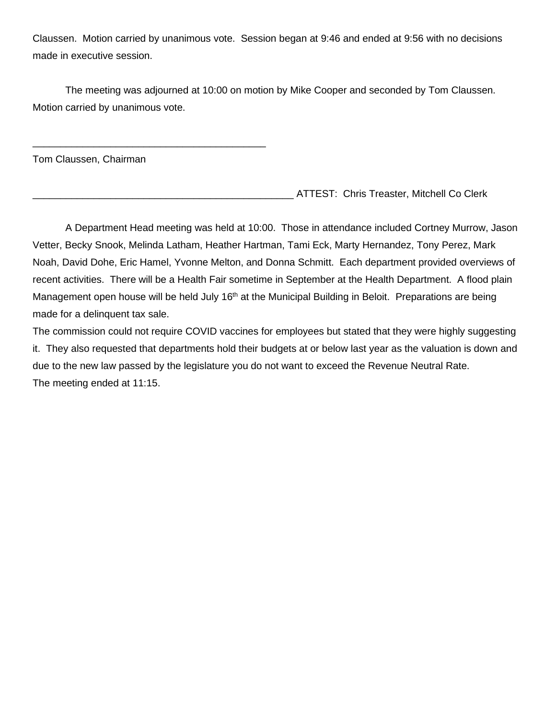Claussen. Motion carried by unanimous vote. Session began at 9:46 and ended at 9:56 with no decisions made in executive session.

The meeting was adjourned at 10:00 on motion by Mike Cooper and seconded by Tom Claussen. Motion carried by unanimous vote.

Tom Claussen, Chairman

\_\_\_\_\_\_\_\_\_\_\_\_\_\_\_\_\_\_\_\_\_\_\_\_\_\_\_\_\_\_\_\_\_\_\_\_\_\_\_\_\_\_

\_\_\_\_\_\_\_\_\_\_\_\_\_\_\_\_\_\_\_\_\_\_\_\_\_\_\_\_\_\_\_\_\_\_\_\_\_\_\_\_\_\_\_\_\_\_\_ ATTEST: Chris Treaster, Mitchell Co Clerk

A Department Head meeting was held at 10:00. Those in attendance included Cortney Murrow, Jason Vetter, Becky Snook, Melinda Latham, Heather Hartman, Tami Eck, Marty Hernandez, Tony Perez, Mark Noah, David Dohe, Eric Hamel, Yvonne Melton, and Donna Schmitt. Each department provided overviews of recent activities. There will be a Health Fair sometime in September at the Health Department. A flood plain Management open house will be held July 16<sup>th</sup> at the Municipal Building in Beloit. Preparations are being made for a delinquent tax sale.

The commission could not require COVID vaccines for employees but stated that they were highly suggesting it. They also requested that departments hold their budgets at or below last year as the valuation is down and due to the new law passed by the legislature you do not want to exceed the Revenue Neutral Rate. The meeting ended at 11:15.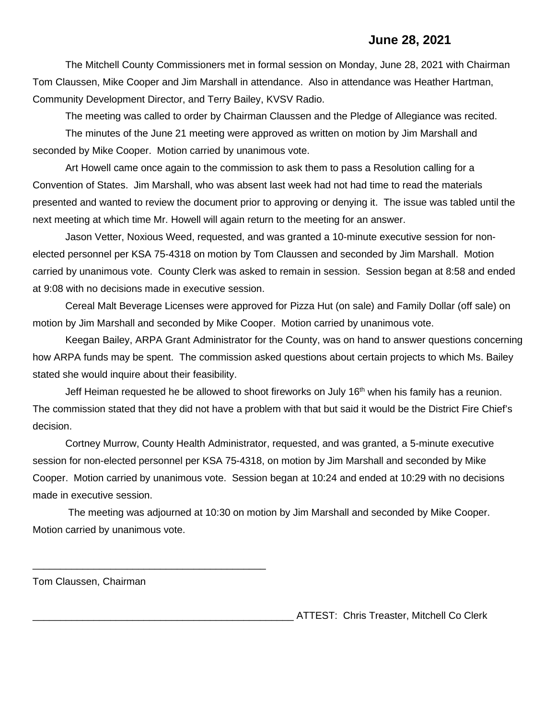#### **June 28, 2021**

The Mitchell County Commissioners met in formal session on Monday, June 28, 2021 with Chairman Tom Claussen, Mike Cooper and Jim Marshall in attendance. Also in attendance was Heather Hartman, Community Development Director, and Terry Bailey, KVSV Radio.

The meeting was called to order by Chairman Claussen and the Pledge of Allegiance was recited.

The minutes of the June 21 meeting were approved as written on motion by Jim Marshall and seconded by Mike Cooper. Motion carried by unanimous vote.

Art Howell came once again to the commission to ask them to pass a Resolution calling for a Convention of States. Jim Marshall, who was absent last week had not had time to read the materials presented and wanted to review the document prior to approving or denying it. The issue was tabled until the next meeting at which time Mr. Howell will again return to the meeting for an answer.

Jason Vetter, Noxious Weed, requested, and was granted a 10-minute executive session for nonelected personnel per KSA 75-4318 on motion by Tom Claussen and seconded by Jim Marshall. Motion carried by unanimous vote. County Clerk was asked to remain in session. Session began at 8:58 and ended at 9:08 with no decisions made in executive session.

Cereal Malt Beverage Licenses were approved for Pizza Hut (on sale) and Family Dollar (off sale) on motion by Jim Marshall and seconded by Mike Cooper. Motion carried by unanimous vote.

Keegan Bailey, ARPA Grant Administrator for the County, was on hand to answer questions concerning how ARPA funds may be spent. The commission asked questions about certain projects to which Ms. Bailey stated she would inquire about their feasibility.

Jeff Heiman requested he be allowed to shoot fireworks on July 16<sup>th</sup> when his family has a reunion. The commission stated that they did not have a problem with that but said it would be the District Fire Chief's decision.

Cortney Murrow, County Health Administrator, requested, and was granted, a 5-minute executive session for non-elected personnel per KSA 75-4318, on motion by Jim Marshall and seconded by Mike Cooper. Motion carried by unanimous vote. Session began at 10:24 and ended at 10:29 with no decisions made in executive session.

The meeting was adjourned at 10:30 on motion by Jim Marshall and seconded by Mike Cooper. Motion carried by unanimous vote.

Tom Claussen, Chairman

\_\_\_\_\_\_\_\_\_\_\_\_\_\_\_\_\_\_\_\_\_\_\_\_\_\_\_\_\_\_\_\_\_\_\_\_\_\_\_\_\_\_

ATTEST: Chris Treaster, Mitchell Co Clerk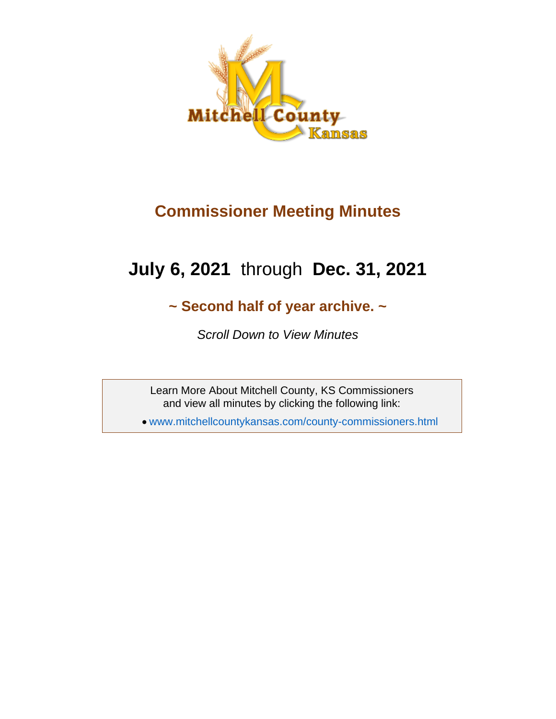

## **Commissioner Meeting Minutes**

# **July 6, 2021** through **Dec. 31, 2021**

## **~ Second half of year archive. ~**

*Scroll Down to View Minutes*

Learn More About Mitchell County, KS Commissioners and view all minutes by clicking the following link:

• [www.mitchellcountykansas.com/county-commissioners.html](http://www.mitchellcountykansas.com/county-commissioners.html)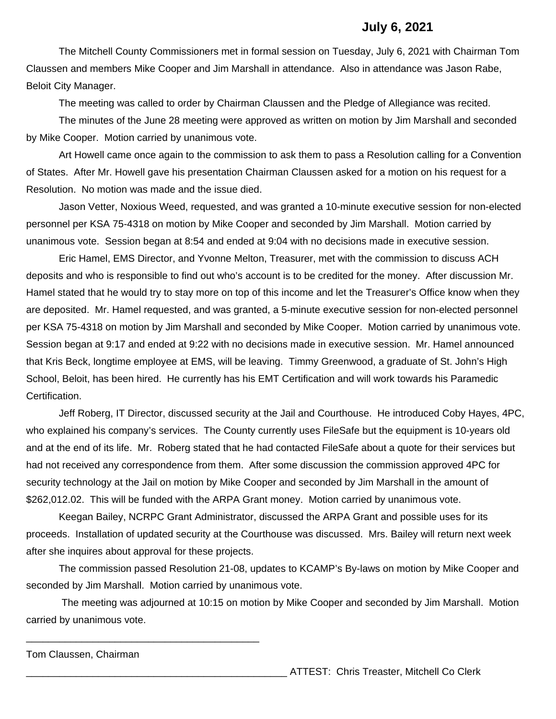#### **July 6, 2021**

The Mitchell County Commissioners met in formal session on Tuesday, July 6, 2021 with Chairman Tom Claussen and members Mike Cooper and Jim Marshall in attendance. Also in attendance was Jason Rabe, Beloit City Manager.

The meeting was called to order by Chairman Claussen and the Pledge of Allegiance was recited.

The minutes of the June 28 meeting were approved as written on motion by Jim Marshall and seconded by Mike Cooper. Motion carried by unanimous vote.

Art Howell came once again to the commission to ask them to pass a Resolution calling for a Convention of States. After Mr. Howell gave his presentation Chairman Claussen asked for a motion on his request for a Resolution. No motion was made and the issue died.

Jason Vetter, Noxious Weed, requested, and was granted a 10-minute executive session for non-elected personnel per KSA 75-4318 on motion by Mike Cooper and seconded by Jim Marshall. Motion carried by unanimous vote. Session began at 8:54 and ended at 9:04 with no decisions made in executive session.

Eric Hamel, EMS Director, and Yvonne Melton, Treasurer, met with the commission to discuss ACH deposits and who is responsible to find out who's account is to be credited for the money. After discussion Mr. Hamel stated that he would try to stay more on top of this income and let the Treasurer's Office know when they are deposited. Mr. Hamel requested, and was granted, a 5-minute executive session for non-elected personnel per KSA 75-4318 on motion by Jim Marshall and seconded by Mike Cooper. Motion carried by unanimous vote. Session began at 9:17 and ended at 9:22 with no decisions made in executive session. Mr. Hamel announced that Kris Beck, longtime employee at EMS, will be leaving. Timmy Greenwood, a graduate of St. John's High School, Beloit, has been hired. He currently has his EMT Certification and will work towards his Paramedic Certification.

Jeff Roberg, IT Director, discussed security at the Jail and Courthouse. He introduced Coby Hayes, 4PC, who explained his company's services. The County currently uses FileSafe but the equipment is 10-years old and at the end of its life. Mr. Roberg stated that he had contacted FileSafe about a quote for their services but had not received any correspondence from them. After some discussion the commission approved 4PC for security technology at the Jail on motion by Mike Cooper and seconded by Jim Marshall in the amount of \$262,012.02. This will be funded with the ARPA Grant money. Motion carried by unanimous vote.

Keegan Bailey, NCRPC Grant Administrator, discussed the ARPA Grant and possible uses for its proceeds. Installation of updated security at the Courthouse was discussed. Mrs. Bailey will return next week after she inquires about approval for these projects.

The commission passed Resolution 21-08, updates to KCAMP's By-laws on motion by Mike Cooper and seconded by Jim Marshall. Motion carried by unanimous vote.

The meeting was adjourned at 10:15 on motion by Mike Cooper and seconded by Jim Marshall. Motion carried by unanimous vote.

Tom Claussen, Chairman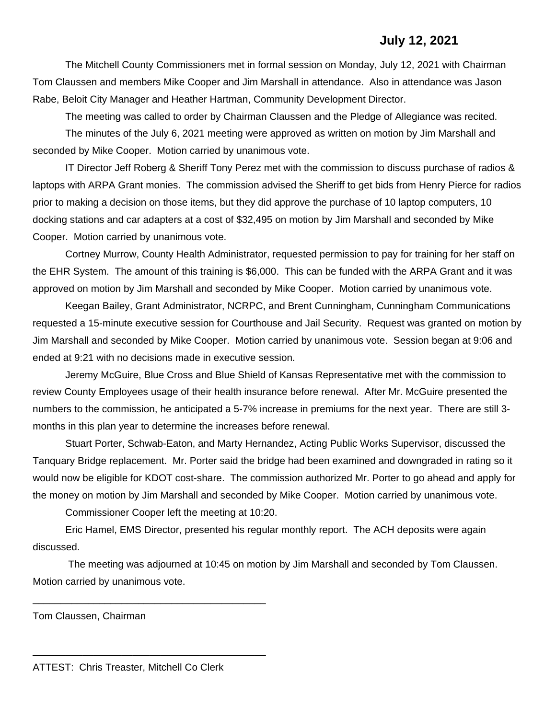## **July 12, 2021**

The Mitchell County Commissioners met in formal session on Monday, July 12, 2021 with Chairman Tom Claussen and members Mike Cooper and Jim Marshall in attendance. Also in attendance was Jason Rabe, Beloit City Manager and Heather Hartman, Community Development Director.

The meeting was called to order by Chairman Claussen and the Pledge of Allegiance was recited. The minutes of the July 6, 2021 meeting were approved as written on motion by Jim Marshall and seconded by Mike Cooper. Motion carried by unanimous vote.

IT Director Jeff Roberg & Sheriff Tony Perez met with the commission to discuss purchase of radios & laptops with ARPA Grant monies. The commission advised the Sheriff to get bids from Henry Pierce for radios prior to making a decision on those items, but they did approve the purchase of 10 laptop computers, 10 docking stations and car adapters at a cost of \$32,495 on motion by Jim Marshall and seconded by Mike Cooper. Motion carried by unanimous vote.

Cortney Murrow, County Health Administrator, requested permission to pay for training for her staff on the EHR System. The amount of this training is \$6,000. This can be funded with the ARPA Grant and it was approved on motion by Jim Marshall and seconded by Mike Cooper. Motion carried by unanimous vote.

Keegan Bailey, Grant Administrator, NCRPC, and Brent Cunningham, Cunningham Communications requested a 15-minute executive session for Courthouse and Jail Security. Request was granted on motion by Jim Marshall and seconded by Mike Cooper. Motion carried by unanimous vote. Session began at 9:06 and ended at 9:21 with no decisions made in executive session.

Jeremy McGuire, Blue Cross and Blue Shield of Kansas Representative met with the commission to review County Employees usage of their health insurance before renewal. After Mr. McGuire presented the numbers to the commission, he anticipated a 5-7% increase in premiums for the next year. There are still 3 months in this plan year to determine the increases before renewal.

Stuart Porter, Schwab-Eaton, and Marty Hernandez, Acting Public Works Supervisor, discussed the Tanquary Bridge replacement. Mr. Porter said the bridge had been examined and downgraded in rating so it would now be eligible for KDOT cost-share. The commission authorized Mr. Porter to go ahead and apply for the money on motion by Jim Marshall and seconded by Mike Cooper. Motion carried by unanimous vote.

Commissioner Cooper left the meeting at 10:20.

Eric Hamel, EMS Director, presented his regular monthly report. The ACH deposits were again discussed.

The meeting was adjourned at 10:45 on motion by Jim Marshall and seconded by Tom Claussen. Motion carried by unanimous vote.

Tom Claussen, Chairman

\_\_\_\_\_\_\_\_\_\_\_\_\_\_\_\_\_\_\_\_\_\_\_\_\_\_\_\_\_\_\_\_\_\_\_\_\_\_\_\_\_\_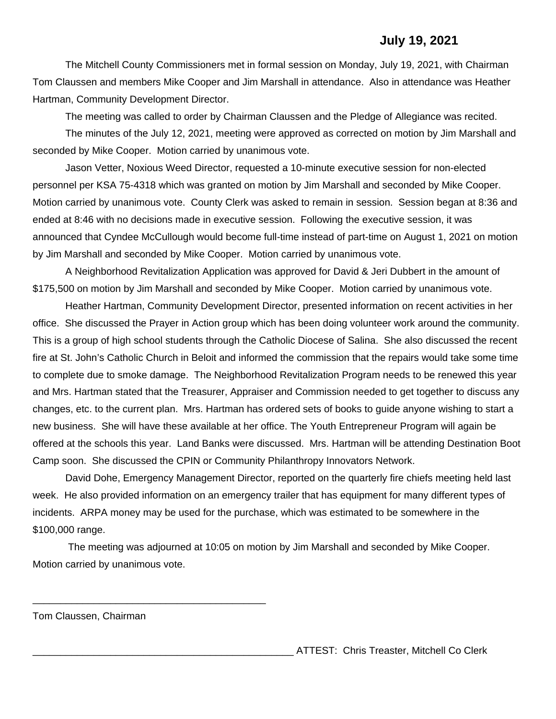### **July 19, 2021**

The Mitchell County Commissioners met in formal session on Monday, July 19, 2021, with Chairman Tom Claussen and members Mike Cooper and Jim Marshall in attendance. Also in attendance was Heather Hartman, Community Development Director.

The meeting was called to order by Chairman Claussen and the Pledge of Allegiance was recited.

The minutes of the July 12, 2021, meeting were approved as corrected on motion by Jim Marshall and seconded by Mike Cooper. Motion carried by unanimous vote.

Jason Vetter, Noxious Weed Director, requested a 10-minute executive session for non-elected personnel per KSA 75-4318 which was granted on motion by Jim Marshall and seconded by Mike Cooper. Motion carried by unanimous vote. County Clerk was asked to remain in session. Session began at 8:36 and ended at 8:46 with no decisions made in executive session. Following the executive session, it was announced that Cyndee McCullough would become full-time instead of part-time on August 1, 2021 on motion by Jim Marshall and seconded by Mike Cooper. Motion carried by unanimous vote.

A Neighborhood Revitalization Application was approved for David & Jeri Dubbert in the amount of \$175,500 on motion by Jim Marshall and seconded by Mike Cooper. Motion carried by unanimous vote.

Heather Hartman, Community Development Director, presented information on recent activities in her office. She discussed the Prayer in Action group which has been doing volunteer work around the community. This is a group of high school students through the Catholic Diocese of Salina. She also discussed the recent fire at St. John's Catholic Church in Beloit and informed the commission that the repairs would take some time to complete due to smoke damage. The Neighborhood Revitalization Program needs to be renewed this year and Mrs. Hartman stated that the Treasurer, Appraiser and Commission needed to get together to discuss any changes, etc. to the current plan. Mrs. Hartman has ordered sets of books to guide anyone wishing to start a new business. She will have these available at her office. The Youth Entrepreneur Program will again be offered at the schools this year. Land Banks were discussed. Mrs. Hartman will be attending Destination Boot Camp soon. She discussed the CPIN or Community Philanthropy Innovators Network.

David Dohe, Emergency Management Director, reported on the quarterly fire chiefs meeting held last week. He also provided information on an emergency trailer that has equipment for many different types of incidents. ARPA money may be used for the purchase, which was estimated to be somewhere in the \$100,000 range.

The meeting was adjourned at 10:05 on motion by Jim Marshall and seconded by Mike Cooper. Motion carried by unanimous vote.

Tom Claussen, Chairman

\_\_\_\_\_\_\_\_\_\_\_\_\_\_\_\_\_\_\_\_\_\_\_\_\_\_\_\_\_\_\_\_\_\_\_\_\_\_\_\_\_\_

\_\_\_\_\_\_\_\_\_\_\_\_\_\_\_\_\_\_\_\_\_\_\_\_\_\_\_\_\_\_\_\_\_\_\_\_\_\_\_\_\_\_\_\_\_\_\_ ATTEST: Chris Treaster, Mitchell Co Clerk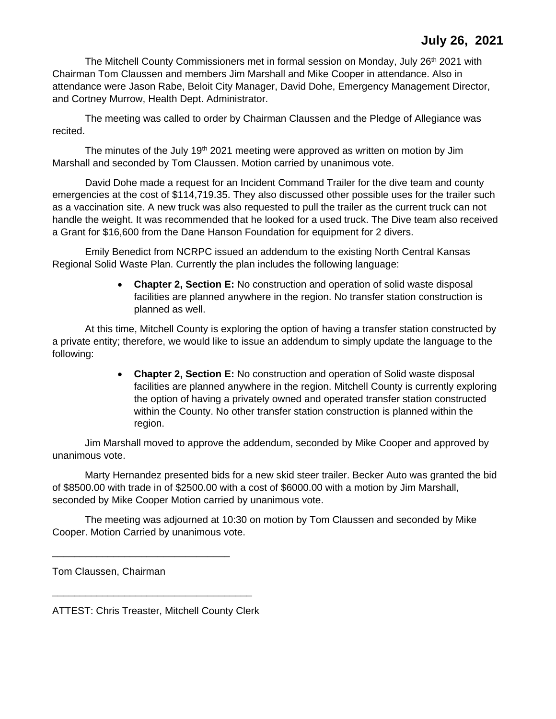The Mitchell County Commissioners met in formal session on Monday, July 26<sup>th</sup> 2021 with Chairman Tom Claussen and members Jim Marshall and Mike Cooper in attendance. Also in attendance were Jason Rabe, Beloit City Manager, David Dohe, Emergency Management Director, and Cortney Murrow, Health Dept. Administrator.

The meeting was called to order by Chairman Claussen and the Pledge of Allegiance was recited.

The minutes of the July 19<sup>th</sup> 2021 meeting were approved as written on motion by Jim Marshall and seconded by Tom Claussen. Motion carried by unanimous vote.

David Dohe made a request for an Incident Command Trailer for the dive team and county emergencies at the cost of \$114,719.35. They also discussed other possible uses for the trailer such as a vaccination site. A new truck was also requested to pull the trailer as the current truck can not handle the weight. It was recommended that he looked for a used truck. The Dive team also received a Grant for \$16,600 from the Dane Hanson Foundation for equipment for 2 divers.

Emily Benedict from NCRPC issued an addendum to the existing North Central Kansas Regional Solid Waste Plan. Currently the plan includes the following language:

> • **Chapter 2, Section E:** No construction and operation of solid waste disposal facilities are planned anywhere in the region. No transfer station construction is planned as well.

At this time, Mitchell County is exploring the option of having a transfer station constructed by a private entity; therefore, we would like to issue an addendum to simply update the language to the following:

> • **Chapter 2, Section E:** No construction and operation of Solid waste disposal facilities are planned anywhere in the region. Mitchell County is currently exploring the option of having a privately owned and operated transfer station constructed within the County. No other transfer station construction is planned within the region.

Jim Marshall moved to approve the addendum, seconded by Mike Cooper and approved by unanimous vote.

Marty Hernandez presented bids for a new skid steer trailer. Becker Auto was granted the bid of \$8500.00 with trade in of \$2500.00 with a cost of \$6000.00 with a motion by Jim Marshall, seconded by Mike Cooper Motion carried by unanimous vote.

The meeting was adjourned at 10:30 on motion by Tom Claussen and seconded by Mike Cooper. Motion Carried by unanimous vote.

Tom Claussen, Chairman

ATTEST: Chris Treaster, Mitchell County Clerk

\_\_\_\_\_\_\_\_\_\_\_\_\_\_\_\_\_\_\_\_\_\_\_\_\_\_\_\_\_\_\_\_\_\_\_\_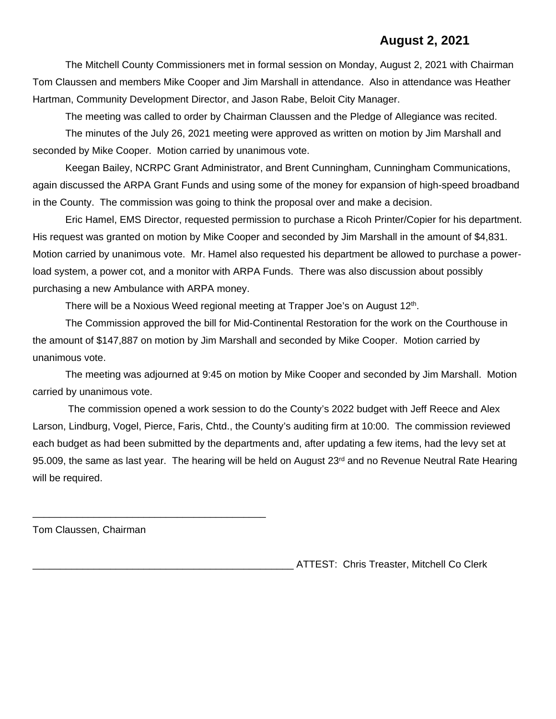## **August 2, 2021**

The Mitchell County Commissioners met in formal session on Monday, August 2, 2021 with Chairman Tom Claussen and members Mike Cooper and Jim Marshall in attendance. Also in attendance was Heather Hartman, Community Development Director, and Jason Rabe, Beloit City Manager.

The meeting was called to order by Chairman Claussen and the Pledge of Allegiance was recited. The minutes of the July 26, 2021 meeting were approved as written on motion by Jim Marshall and seconded by Mike Cooper. Motion carried by unanimous vote.

Keegan Bailey, NCRPC Grant Administrator, and Brent Cunningham, Cunningham Communications, again discussed the ARPA Grant Funds and using some of the money for expansion of high-speed broadband in the County. The commission was going to think the proposal over and make a decision.

Eric Hamel, EMS Director, requested permission to purchase a Ricoh Printer/Copier for his department. His request was granted on motion by Mike Cooper and seconded by Jim Marshall in the amount of \$4,831. Motion carried by unanimous vote. Mr. Hamel also requested his department be allowed to purchase a powerload system, a power cot, and a monitor with ARPA Funds. There was also discussion about possibly purchasing a new Ambulance with ARPA money.

There will be a Noxious Weed regional meeting at Trapper Joe's on August 12<sup>th</sup>.

The Commission approved the bill for Mid-Continental Restoration for the work on the Courthouse in the amount of \$147,887 on motion by Jim Marshall and seconded by Mike Cooper. Motion carried by unanimous vote.

The meeting was adjourned at 9:45 on motion by Mike Cooper and seconded by Jim Marshall. Motion carried by unanimous vote.

The commission opened a work session to do the County's 2022 budget with Jeff Reece and Alex Larson, Lindburg, Vogel, Pierce, Faris, Chtd., the County's auditing firm at 10:00. The commission reviewed each budget as had been submitted by the departments and, after updating a few items, had the levy set at 95.009, the same as last year. The hearing will be held on August 23<sup>rd</sup> and no Revenue Neutral Rate Hearing will be required.

Tom Claussen, Chairman

\_\_\_\_\_\_\_\_\_\_\_\_\_\_\_\_\_\_\_\_\_\_\_\_\_\_\_\_\_\_\_\_\_\_\_\_\_\_\_\_\_\_

\_\_\_\_\_\_\_\_\_\_\_\_\_\_\_\_\_\_\_\_\_\_\_\_\_\_\_\_\_\_\_\_\_\_\_\_\_\_\_\_\_\_\_\_\_\_\_ ATTEST: Chris Treaster, Mitchell Co Clerk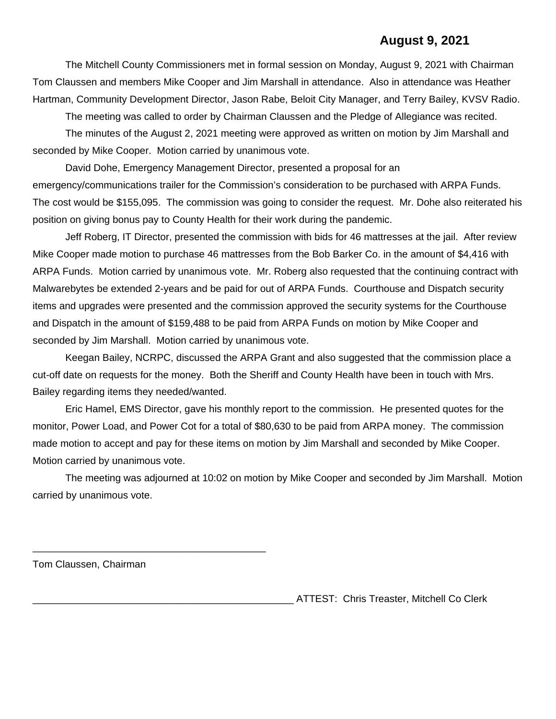## **August 9, 2021**

The Mitchell County Commissioners met in formal session on Monday, August 9, 2021 with Chairman Tom Claussen and members Mike Cooper and Jim Marshall in attendance. Also in attendance was Heather Hartman, Community Development Director, Jason Rabe, Beloit City Manager, and Terry Bailey, KVSV Radio.

The meeting was called to order by Chairman Claussen and the Pledge of Allegiance was recited.

The minutes of the August 2, 2021 meeting were approved as written on motion by Jim Marshall and seconded by Mike Cooper. Motion carried by unanimous vote.

David Dohe, Emergency Management Director, presented a proposal for an emergency/communications trailer for the Commission's consideration to be purchased with ARPA Funds. The cost would be \$155,095. The commission was going to consider the request. Mr. Dohe also reiterated his position on giving bonus pay to County Health for their work during the pandemic.

Jeff Roberg, IT Director, presented the commission with bids for 46 mattresses at the jail. After review Mike Cooper made motion to purchase 46 mattresses from the Bob Barker Co. in the amount of \$4,416 with ARPA Funds. Motion carried by unanimous vote. Mr. Roberg also requested that the continuing contract with Malwarebytes be extended 2-years and be paid for out of ARPA Funds. Courthouse and Dispatch security items and upgrades were presented and the commission approved the security systems for the Courthouse and Dispatch in the amount of \$159,488 to be paid from ARPA Funds on motion by Mike Cooper and seconded by Jim Marshall. Motion carried by unanimous vote.

Keegan Bailey, NCRPC, discussed the ARPA Grant and also suggested that the commission place a cut-off date on requests for the money. Both the Sheriff and County Health have been in touch with Mrs. Bailey regarding items they needed/wanted.

Eric Hamel, EMS Director, gave his monthly report to the commission. He presented quotes for the monitor, Power Load, and Power Cot for a total of \$80,630 to be paid from ARPA money. The commission made motion to accept and pay for these items on motion by Jim Marshall and seconded by Mike Cooper. Motion carried by unanimous vote.

The meeting was adjourned at 10:02 on motion by Mike Cooper and seconded by Jim Marshall. Motion carried by unanimous vote.

Tom Claussen, Chairman

\_\_\_\_\_\_\_\_\_\_\_\_\_\_\_\_\_\_\_\_\_\_\_\_\_\_\_\_\_\_\_\_\_\_\_\_\_\_\_\_\_\_

ATTEST: Chris Treaster, Mitchell Co Clerk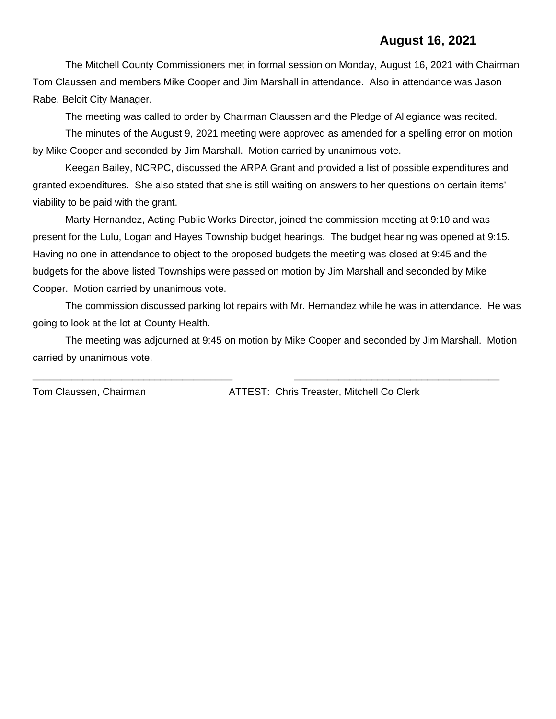## **August 16, 2021**

The Mitchell County Commissioners met in formal session on Monday, August 16, 2021 with Chairman Tom Claussen and members Mike Cooper and Jim Marshall in attendance. Also in attendance was Jason Rabe, Beloit City Manager.

The meeting was called to order by Chairman Claussen and the Pledge of Allegiance was recited.

The minutes of the August 9, 2021 meeting were approved as amended for a spelling error on motion by Mike Cooper and seconded by Jim Marshall. Motion carried by unanimous vote.

Keegan Bailey, NCRPC, discussed the ARPA Grant and provided a list of possible expenditures and granted expenditures. She also stated that she is still waiting on answers to her questions on certain items' viability to be paid with the grant.

Marty Hernandez, Acting Public Works Director, joined the commission meeting at 9:10 and was present for the Lulu, Logan and Hayes Township budget hearings. The budget hearing was opened at 9:15. Having no one in attendance to object to the proposed budgets the meeting was closed at 9:45 and the budgets for the above listed Townships were passed on motion by Jim Marshall and seconded by Mike Cooper. Motion carried by unanimous vote.

The commission discussed parking lot repairs with Mr. Hernandez while he was in attendance. He was going to look at the lot at County Health.

The meeting was adjourned at 9:45 on motion by Mike Cooper and seconded by Jim Marshall. Motion carried by unanimous vote.

\_\_\_\_\_\_\_\_\_\_\_\_\_\_\_\_\_\_\_\_\_\_\_\_\_\_\_\_\_\_\_\_\_\_\_\_ \_\_\_\_\_\_\_\_\_\_\_\_\_\_\_\_\_\_\_\_\_\_\_\_\_\_\_\_\_\_\_\_\_\_\_\_\_

Tom Claussen, Chairman ATTEST: Chris Treaster, Mitchell Co Clerk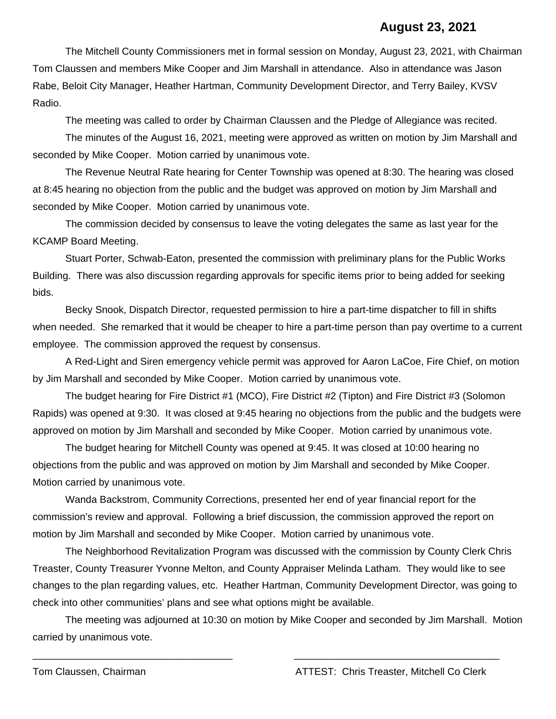#### **August 23, 2021**

The Mitchell County Commissioners met in formal session on Monday, August 23, 2021, with Chairman Tom Claussen and members Mike Cooper and Jim Marshall in attendance. Also in attendance was Jason Rabe, Beloit City Manager, Heather Hartman, Community Development Director, and Terry Bailey, KVSV Radio.

The meeting was called to order by Chairman Claussen and the Pledge of Allegiance was recited.

The minutes of the August 16, 2021, meeting were approved as written on motion by Jim Marshall and seconded by Mike Cooper. Motion carried by unanimous vote.

The Revenue Neutral Rate hearing for Center Township was opened at 8:30. The hearing was closed at 8:45 hearing no objection from the public and the budget was approved on motion by Jim Marshall and seconded by Mike Cooper. Motion carried by unanimous vote.

The commission decided by consensus to leave the voting delegates the same as last year for the KCAMP Board Meeting.

Stuart Porter, Schwab-Eaton, presented the commission with preliminary plans for the Public Works Building. There was also discussion regarding approvals for specific items prior to being added for seeking bids.

Becky Snook, Dispatch Director, requested permission to hire a part-time dispatcher to fill in shifts when needed. She remarked that it would be cheaper to hire a part-time person than pay overtime to a current employee. The commission approved the request by consensus.

A Red-Light and Siren emergency vehicle permit was approved for Aaron LaCoe, Fire Chief, on motion by Jim Marshall and seconded by Mike Cooper. Motion carried by unanimous vote.

The budget hearing for Fire District #1 (MCO), Fire District #2 (Tipton) and Fire District #3 (Solomon Rapids) was opened at 9:30. It was closed at 9:45 hearing no objections from the public and the budgets were approved on motion by Jim Marshall and seconded by Mike Cooper. Motion carried by unanimous vote.

The budget hearing for Mitchell County was opened at 9:45. It was closed at 10:00 hearing no objections from the public and was approved on motion by Jim Marshall and seconded by Mike Cooper. Motion carried by unanimous vote.

Wanda Backstrom, Community Corrections, presented her end of year financial report for the commission's review and approval. Following a brief discussion, the commission approved the report on motion by Jim Marshall and seconded by Mike Cooper. Motion carried by unanimous vote.

The Neighborhood Revitalization Program was discussed with the commission by County Clerk Chris Treaster, County Treasurer Yvonne Melton, and County Appraiser Melinda Latham. They would like to see changes to the plan regarding values, etc. Heather Hartman, Community Development Director, was going to check into other communities' plans and see what options might be available.

The meeting was adjourned at 10:30 on motion by Mike Cooper and seconded by Jim Marshall. Motion carried by unanimous vote.

\_\_\_\_\_\_\_\_\_\_\_\_\_\_\_\_\_\_\_\_\_\_\_\_\_\_\_\_\_\_\_\_\_\_\_\_ \_\_\_\_\_\_\_\_\_\_\_\_\_\_\_\_\_\_\_\_\_\_\_\_\_\_\_\_\_\_\_\_\_\_\_\_\_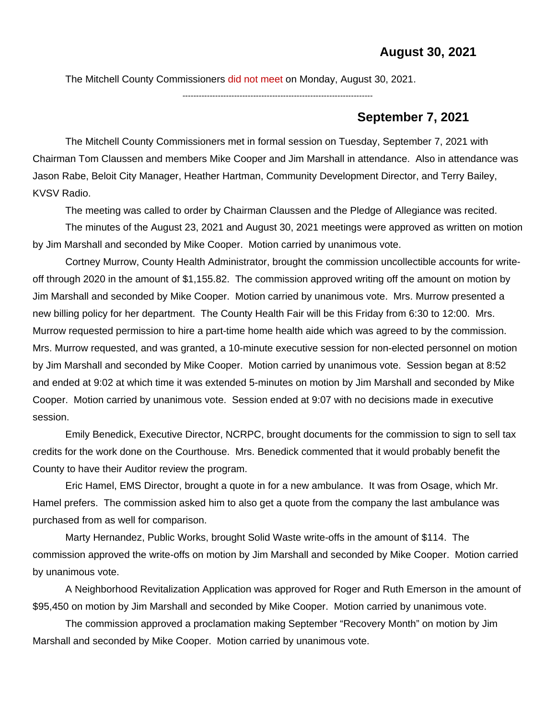The Mitchell County Commissioners did not meet on Monday, August 30, 2021.

----------------------------------------------------------------------

#### **September 7, 2021**

The Mitchell County Commissioners met in formal session on Tuesday, September 7, 2021 with Chairman Tom Claussen and members Mike Cooper and Jim Marshall in attendance. Also in attendance was Jason Rabe, Beloit City Manager, Heather Hartman, Community Development Director, and Terry Bailey, KVSV Radio.

The meeting was called to order by Chairman Claussen and the Pledge of Allegiance was recited.

The minutes of the August 23, 2021 and August 30, 2021 meetings were approved as written on motion by Jim Marshall and seconded by Mike Cooper. Motion carried by unanimous vote.

Cortney Murrow, County Health Administrator, brought the commission uncollectible accounts for writeoff through 2020 in the amount of \$1,155.82. The commission approved writing off the amount on motion by Jim Marshall and seconded by Mike Cooper. Motion carried by unanimous vote. Mrs. Murrow presented a new billing policy for her department. The County Health Fair will be this Friday from 6:30 to 12:00. Mrs. Murrow requested permission to hire a part-time home health aide which was agreed to by the commission. Mrs. Murrow requested, and was granted, a 10-minute executive session for non-elected personnel on motion by Jim Marshall and seconded by Mike Cooper. Motion carried by unanimous vote. Session began at 8:52 and ended at 9:02 at which time it was extended 5-minutes on motion by Jim Marshall and seconded by Mike Cooper. Motion carried by unanimous vote. Session ended at 9:07 with no decisions made in executive session.

Emily Benedick, Executive Director, NCRPC, brought documents for the commission to sign to sell tax credits for the work done on the Courthouse. Mrs. Benedick commented that it would probably benefit the County to have their Auditor review the program.

Eric Hamel, EMS Director, brought a quote in for a new ambulance. It was from Osage, which Mr. Hamel prefers. The commission asked him to also get a quote from the company the last ambulance was purchased from as well for comparison.

Marty Hernandez, Public Works, brought Solid Waste write-offs in the amount of \$114. The commission approved the write-offs on motion by Jim Marshall and seconded by Mike Cooper. Motion carried by unanimous vote.

A Neighborhood Revitalization Application was approved for Roger and Ruth Emerson in the amount of \$95,450 on motion by Jim Marshall and seconded by Mike Cooper. Motion carried by unanimous vote.

The commission approved a proclamation making September "Recovery Month" on motion by Jim Marshall and seconded by Mike Cooper. Motion carried by unanimous vote.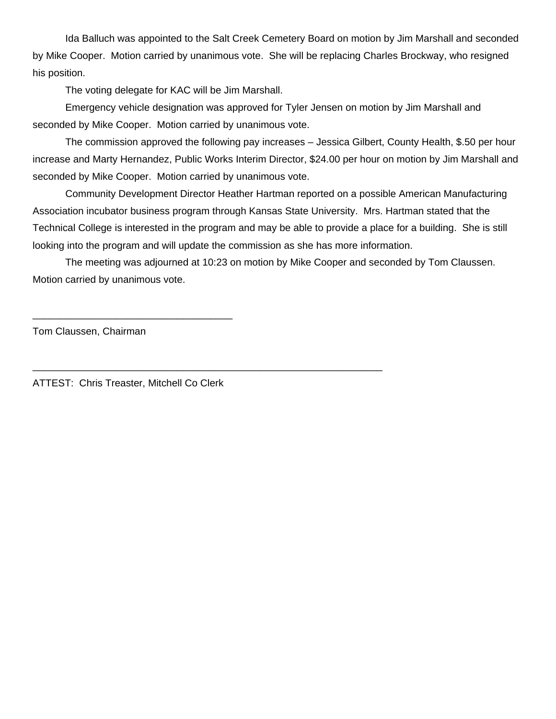Ida Balluch was appointed to the Salt Creek Cemetery Board on motion by Jim Marshall and seconded by Mike Cooper. Motion carried by unanimous vote. She will be replacing Charles Brockway, who resigned his position.

The voting delegate for KAC will be Jim Marshall.

Emergency vehicle designation was approved for Tyler Jensen on motion by Jim Marshall and seconded by Mike Cooper. Motion carried by unanimous vote.

The commission approved the following pay increases – Jessica Gilbert, County Health, \$.50 per hour increase and Marty Hernandez, Public Works Interim Director, \$24.00 per hour on motion by Jim Marshall and seconded by Mike Cooper. Motion carried by unanimous vote.

Community Development Director Heather Hartman reported on a possible American Manufacturing Association incubator business program through Kansas State University. Mrs. Hartman stated that the Technical College is interested in the program and may be able to provide a place for a building. She is still looking into the program and will update the commission as she has more information.

The meeting was adjourned at 10:23 on motion by Mike Cooper and seconded by Tom Claussen. Motion carried by unanimous vote.

\_\_\_\_\_\_\_\_\_\_\_\_\_\_\_\_\_\_\_\_\_\_\_\_\_\_\_\_\_\_\_\_\_\_\_\_\_\_\_\_\_\_\_\_\_\_\_\_\_\_\_\_\_\_\_\_\_\_\_\_\_\_\_

Tom Claussen, Chairman

ATTEST: Chris Treaster, Mitchell Co Clerk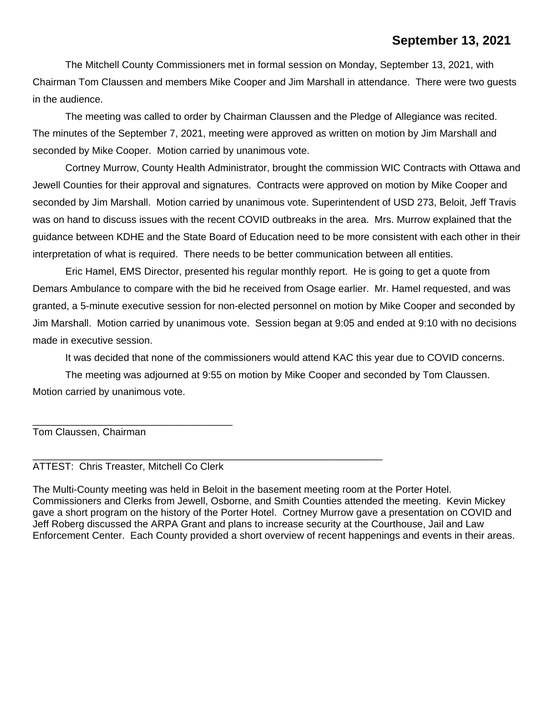## **September 13, 2021**

The Mitchell County Commissioners met in formal session on Monday, September 13, 2021, with Chairman Tom Claussen and members Mike Cooper and Jim Marshall in attendance. There were two guests in the audience.

The meeting was called to order by Chairman Claussen and the Pledge of Allegiance was recited. The minutes of the September 7, 2021, meeting were approved as written on motion by Jim Marshall and seconded by Mike Cooper. Motion carried by unanimous vote.

Cortney Murrow, County Health Administrator, brought the commission WIC Contracts with Ottawa and Jewell Counties for their approval and signatures. Contracts were approved on motion by Mike Cooper and seconded by Jim Marshall. Motion carried by unanimous vote. Superintendent of USD 273, Beloit, Jeff Travis was on hand to discuss issues with the recent COVID outbreaks in the area. Mrs. Murrow explained that the guidance between KDHE and the State Board of Education need to be more consistent with each other in their interpretation of what is required. There needs to be better communication between all entities.

Eric Hamel, EMS Director, presented his regular monthly report. He is going to get a quote from Demars Ambulance to compare with the bid he received from Osage earlier. Mr. Hamel requested, and was granted, a 5-minute executive session for non-elected personnel on motion by Mike Cooper and seconded by Jim Marshall. Motion carried by unanimous vote. Session began at 9:05 and ended at 9:10 with no decisions made in executive session.

It was decided that none of the commissioners would attend KAC this year due to COVID concerns.

The meeting was adjourned at 9:55 on motion by Mike Cooper and seconded by Tom Claussen. Motion carried by unanimous vote.

Tom Claussen, Chairman

\_\_\_\_\_\_\_\_\_\_\_\_\_\_\_\_\_\_\_\_\_\_\_\_\_\_\_\_\_\_\_\_\_\_\_\_\_\_\_\_\_\_\_\_\_\_\_\_\_\_\_\_\_\_\_\_\_\_\_\_\_\_\_ ATTEST: Chris Treaster, Mitchell Co Clerk

\_\_\_\_\_\_\_\_\_\_\_\_\_\_\_\_\_\_\_\_\_\_\_\_\_\_\_\_\_\_\_\_\_\_\_\_

The Multi-County meeting was held in Beloit in the basement meeting room at the Porter Hotel. Commissioners and Clerks from Jewell, Osborne, and Smith Counties attended the meeting. Kevin Mickey gave a short program on the history of the Porter Hotel. Cortney Murrow gave a presentation on COVID and Jeff Roberg discussed the ARPA Grant and plans to increase security at the Courthouse, Jail and Law Enforcement Center. Each County provided a short overview of recent happenings and events in their areas.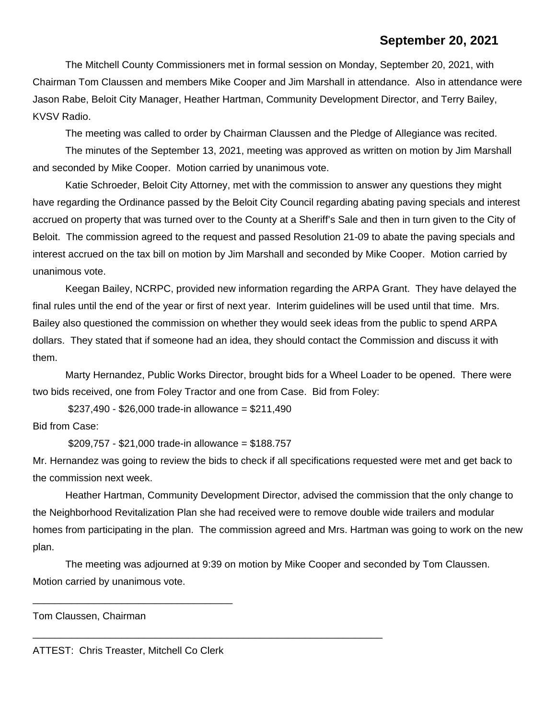## **September 20, 2021**

The Mitchell County Commissioners met in formal session on Monday, September 20, 2021, with Chairman Tom Claussen and members Mike Cooper and Jim Marshall in attendance. Also in attendance were Jason Rabe, Beloit City Manager, Heather Hartman, Community Development Director, and Terry Bailey, KVSV Radio.

The meeting was called to order by Chairman Claussen and the Pledge of Allegiance was recited.

The minutes of the September 13, 2021, meeting was approved as written on motion by Jim Marshall and seconded by Mike Cooper. Motion carried by unanimous vote.

Katie Schroeder, Beloit City Attorney, met with the commission to answer any questions they might have regarding the Ordinance passed by the Beloit City Council regarding abating paving specials and interest accrued on property that was turned over to the County at a Sheriff's Sale and then in turn given to the City of Beloit. The commission agreed to the request and passed Resolution 21-09 to abate the paving specials and interest accrued on the tax bill on motion by Jim Marshall and seconded by Mike Cooper. Motion carried by unanimous vote.

Keegan Bailey, NCRPC, provided new information regarding the ARPA Grant. They have delayed the final rules until the end of the year or first of next year. Interim guidelines will be used until that time. Mrs. Bailey also questioned the commission on whether they would seek ideas from the public to spend ARPA dollars. They stated that if someone had an idea, they should contact the Commission and discuss it with them.

Marty Hernandez, Public Works Director, brought bids for a Wheel Loader to be opened. There were two bids received, one from Foley Tractor and one from Case. Bid from Foley:

 $$237,490 - $26,000$  trade-in allowance = \$211,490

Bid from Case:

\$209,757 - \$21,000 trade-in allowance = \$188.757

Mr. Hernandez was going to review the bids to check if all specifications requested were met and get back to the commission next week.

Heather Hartman, Community Development Director, advised the commission that the only change to the Neighborhood Revitalization Plan she had received were to remove double wide trailers and modular homes from participating in the plan. The commission agreed and Mrs. Hartman was going to work on the new plan.

The meeting was adjourned at 9:39 on motion by Mike Cooper and seconded by Tom Claussen. Motion carried by unanimous vote.

\_\_\_\_\_\_\_\_\_\_\_\_\_\_\_\_\_\_\_\_\_\_\_\_\_\_\_\_\_\_\_\_\_\_\_\_\_\_\_\_\_\_\_\_\_\_\_\_\_\_\_\_\_\_\_\_\_\_\_\_\_\_\_

Tom Claussen, Chairman

ATTEST: Chris Treaster, Mitchell Co Clerk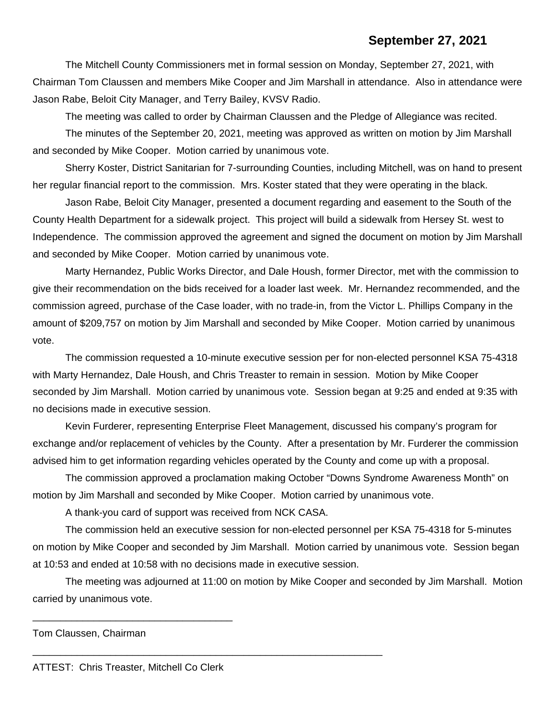### **September 27, 2021**

The Mitchell County Commissioners met in formal session on Monday, September 27, 2021, with Chairman Tom Claussen and members Mike Cooper and Jim Marshall in attendance. Also in attendance were Jason Rabe, Beloit City Manager, and Terry Bailey, KVSV Radio.

The meeting was called to order by Chairman Claussen and the Pledge of Allegiance was recited.

The minutes of the September 20, 2021, meeting was approved as written on motion by Jim Marshall and seconded by Mike Cooper. Motion carried by unanimous vote.

Sherry Koster, District Sanitarian for 7-surrounding Counties, including Mitchell, was on hand to present her regular financial report to the commission. Mrs. Koster stated that they were operating in the black.

Jason Rabe, Beloit City Manager, presented a document regarding and easement to the South of the County Health Department for a sidewalk project. This project will build a sidewalk from Hersey St. west to Independence. The commission approved the agreement and signed the document on motion by Jim Marshall and seconded by Mike Cooper. Motion carried by unanimous vote.

Marty Hernandez, Public Works Director, and Dale Housh, former Director, met with the commission to give their recommendation on the bids received for a loader last week. Mr. Hernandez recommended, and the commission agreed, purchase of the Case loader, with no trade-in, from the Victor L. Phillips Company in the amount of \$209,757 on motion by Jim Marshall and seconded by Mike Cooper. Motion carried by unanimous vote.

The commission requested a 10-minute executive session per for non-elected personnel KSA 75-4318 with Marty Hernandez, Dale Housh, and Chris Treaster to remain in session. Motion by Mike Cooper seconded by Jim Marshall. Motion carried by unanimous vote. Session began at 9:25 and ended at 9:35 with no decisions made in executive session.

Kevin Furderer, representing Enterprise Fleet Management, discussed his company's program for exchange and/or replacement of vehicles by the County. After a presentation by Mr. Furderer the commission advised him to get information regarding vehicles operated by the County and come up with a proposal.

The commission approved a proclamation making October "Downs Syndrome Awareness Month" on motion by Jim Marshall and seconded by Mike Cooper. Motion carried by unanimous vote.

A thank-you card of support was received from NCK CASA.

\_\_\_\_\_\_\_\_\_\_\_\_\_\_\_\_\_\_\_\_\_\_\_\_\_\_\_\_\_\_\_\_\_\_\_\_\_\_\_\_\_\_\_\_\_\_\_\_\_\_\_\_\_\_\_\_\_\_\_\_\_\_\_

The commission held an executive session for non-elected personnel per KSA 75-4318 for 5-minutes on motion by Mike Cooper and seconded by Jim Marshall. Motion carried by unanimous vote. Session began at 10:53 and ended at 10:58 with no decisions made in executive session.

The meeting was adjourned at 11:00 on motion by Mike Cooper and seconded by Jim Marshall. Motion carried by unanimous vote.

Tom Claussen, Chairman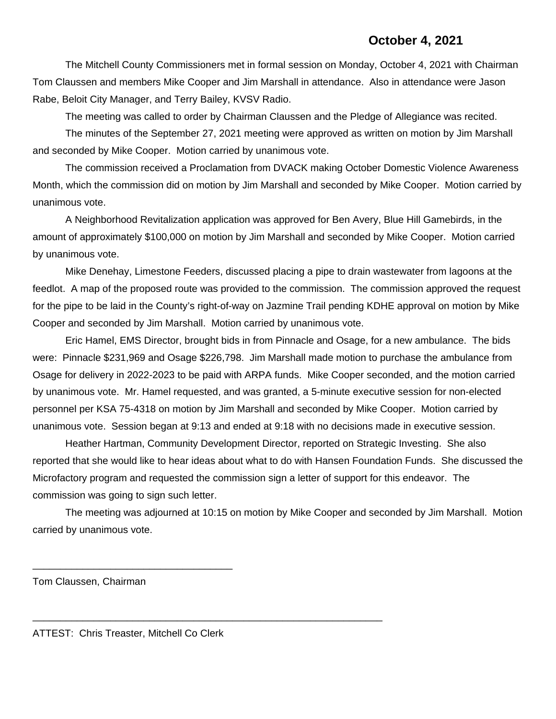### **October 4, 2021**

The Mitchell County Commissioners met in formal session on Monday, October 4, 2021 with Chairman Tom Claussen and members Mike Cooper and Jim Marshall in attendance. Also in attendance were Jason Rabe, Beloit City Manager, and Terry Bailey, KVSV Radio.

The meeting was called to order by Chairman Claussen and the Pledge of Allegiance was recited.

The minutes of the September 27, 2021 meeting were approved as written on motion by Jim Marshall and seconded by Mike Cooper. Motion carried by unanimous vote.

The commission received a Proclamation from DVACK making October Domestic Violence Awareness Month, which the commission did on motion by Jim Marshall and seconded by Mike Cooper. Motion carried by unanimous vote.

A Neighborhood Revitalization application was approved for Ben Avery, Blue Hill Gamebirds, in the amount of approximately \$100,000 on motion by Jim Marshall and seconded by Mike Cooper. Motion carried by unanimous vote.

Mike Denehay, Limestone Feeders, discussed placing a pipe to drain wastewater from lagoons at the feedlot. A map of the proposed route was provided to the commission. The commission approved the request for the pipe to be laid in the County's right-of-way on Jazmine Trail pending KDHE approval on motion by Mike Cooper and seconded by Jim Marshall. Motion carried by unanimous vote.

Eric Hamel, EMS Director, brought bids in from Pinnacle and Osage, for a new ambulance. The bids were: Pinnacle \$231,969 and Osage \$226,798. Jim Marshall made motion to purchase the ambulance from Osage for delivery in 2022-2023 to be paid with ARPA funds. Mike Cooper seconded, and the motion carried by unanimous vote. Mr. Hamel requested, and was granted, a 5-minute executive session for non-elected personnel per KSA 75-4318 on motion by Jim Marshall and seconded by Mike Cooper. Motion carried by unanimous vote. Session began at 9:13 and ended at 9:18 with no decisions made in executive session.

Heather Hartman, Community Development Director, reported on Strategic Investing. She also reported that she would like to hear ideas about what to do with Hansen Foundation Funds. She discussed the Microfactory program and requested the commission sign a letter of support for this endeavor. The commission was going to sign such letter.

The meeting was adjourned at 10:15 on motion by Mike Cooper and seconded by Jim Marshall. Motion carried by unanimous vote.

Tom Claussen, Chairman

ATTEST: Chris Treaster, Mitchell Co Clerk

\_\_\_\_\_\_\_\_\_\_\_\_\_\_\_\_\_\_\_\_\_\_\_\_\_\_\_\_\_\_\_\_\_\_\_\_\_\_\_\_\_\_\_\_\_\_\_\_\_\_\_\_\_\_\_\_\_\_\_\_\_\_\_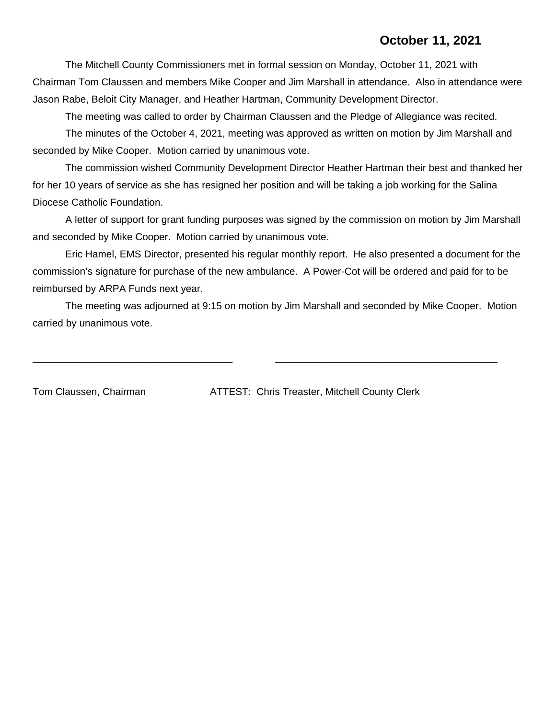## **October 11, 2021**

The Mitchell County Commissioners met in formal session on Monday, October 11, 2021 with Chairman Tom Claussen and members Mike Cooper and Jim Marshall in attendance. Also in attendance were Jason Rabe, Beloit City Manager, and Heather Hartman, Community Development Director.

The meeting was called to order by Chairman Claussen and the Pledge of Allegiance was recited.

The minutes of the October 4, 2021, meeting was approved as written on motion by Jim Marshall and seconded by Mike Cooper. Motion carried by unanimous vote.

The commission wished Community Development Director Heather Hartman their best and thanked her for her 10 years of service as she has resigned her position and will be taking a job working for the Salina Diocese Catholic Foundation.

A letter of support for grant funding purposes was signed by the commission on motion by Jim Marshall and seconded by Mike Cooper. Motion carried by unanimous vote.

Eric Hamel, EMS Director, presented his regular monthly report. He also presented a document for the commission's signature for purchase of the new ambulance. A Power-Cot will be ordered and paid for to be reimbursed by ARPA Funds next year.

The meeting was adjourned at 9:15 on motion by Jim Marshall and seconded by Mike Cooper. Motion carried by unanimous vote.

\_\_\_\_\_\_\_\_\_\_\_\_\_\_\_\_\_\_\_\_\_\_\_\_\_\_\_\_\_\_\_\_\_\_\_\_ \_\_\_\_\_\_\_\_\_\_\_\_\_\_\_\_\_\_\_\_\_\_\_\_\_\_\_\_\_\_\_\_\_\_\_\_\_\_\_\_

Tom Claussen, Chairman ATTEST: Chris Treaster, Mitchell County Clerk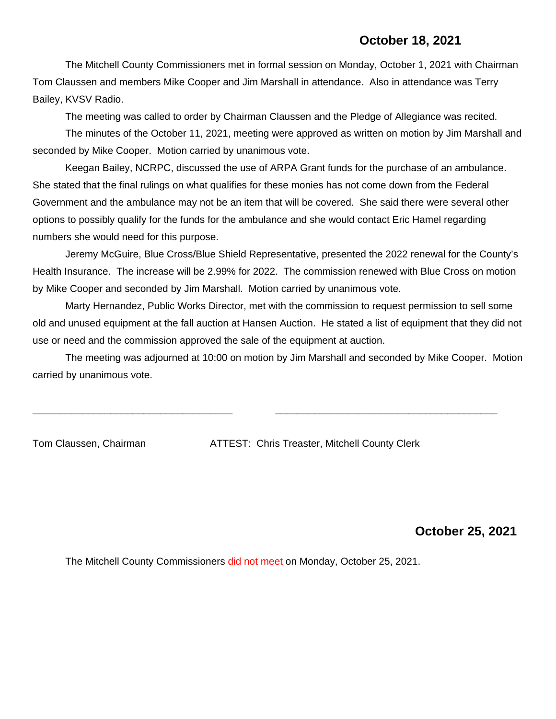The Mitchell County Commissioners met in formal session on Monday, October 1, 2021 with Chairman Tom Claussen and members Mike Cooper and Jim Marshall in attendance. Also in attendance was Terry Bailey, KVSV Radio.

The meeting was called to order by Chairman Claussen and the Pledge of Allegiance was recited.

The minutes of the October 11, 2021, meeting were approved as written on motion by Jim Marshall and seconded by Mike Cooper. Motion carried by unanimous vote.

Keegan Bailey, NCRPC, discussed the use of ARPA Grant funds for the purchase of an ambulance. She stated that the final rulings on what qualifies for these monies has not come down from the Federal Government and the ambulance may not be an item that will be covered. She said there were several other options to possibly qualify for the funds for the ambulance and she would contact Eric Hamel regarding numbers she would need for this purpose.

Jeremy McGuire, Blue Cross/Blue Shield Representative, presented the 2022 renewal for the County's Health Insurance. The increase will be 2.99% for 2022. The commission renewed with Blue Cross on motion by Mike Cooper and seconded by Jim Marshall. Motion carried by unanimous vote.

Marty Hernandez, Public Works Director, met with the commission to request permission to sell some old and unused equipment at the fall auction at Hansen Auction. He stated a list of equipment that they did not use or need and the commission approved the sale of the equipment at auction.

The meeting was adjourned at 10:00 on motion by Jim Marshall and seconded by Mike Cooper. Motion carried by unanimous vote.

\_\_\_\_\_\_\_\_\_\_\_\_\_\_\_\_\_\_\_\_\_\_\_\_\_\_\_\_\_\_\_\_\_\_\_\_ \_\_\_\_\_\_\_\_\_\_\_\_\_\_\_\_\_\_\_\_\_\_\_\_\_\_\_\_\_\_\_\_\_\_\_\_\_\_\_\_

Tom Claussen, Chairman ATTEST: Chris Treaster, Mitchell County Clerk

 **October 25, 2021**

The Mitchell County Commissioners did not meet on Monday, October 25, 2021.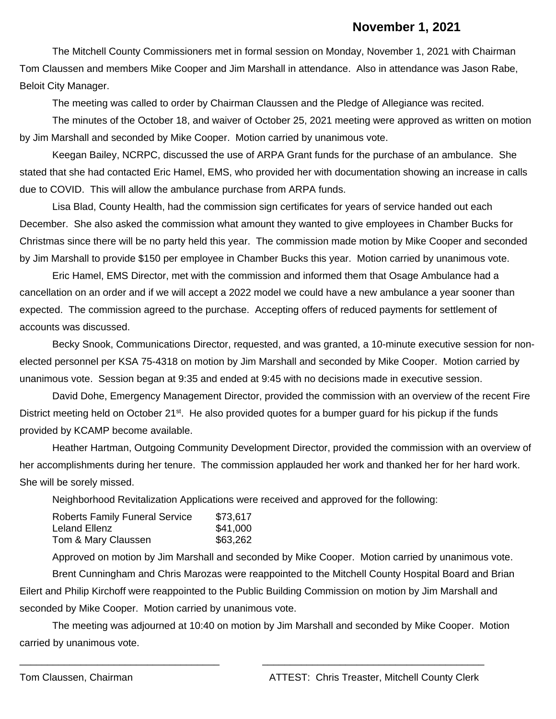## **November 1, 2021**

The Mitchell County Commissioners met in formal session on Monday, November 1, 2021 with Chairman Tom Claussen and members Mike Cooper and Jim Marshall in attendance. Also in attendance was Jason Rabe, Beloit City Manager.

The meeting was called to order by Chairman Claussen and the Pledge of Allegiance was recited.

The minutes of the October 18, and waiver of October 25, 2021 meeting were approved as written on motion by Jim Marshall and seconded by Mike Cooper. Motion carried by unanimous vote.

Keegan Bailey, NCRPC, discussed the use of ARPA Grant funds for the purchase of an ambulance. She stated that she had contacted Eric Hamel, EMS, who provided her with documentation showing an increase in calls due to COVID. This will allow the ambulance purchase from ARPA funds.

Lisa Blad, County Health, had the commission sign certificates for years of service handed out each December. She also asked the commission what amount they wanted to give employees in Chamber Bucks for Christmas since there will be no party held this year. The commission made motion by Mike Cooper and seconded by Jim Marshall to provide \$150 per employee in Chamber Bucks this year. Motion carried by unanimous vote.

Eric Hamel, EMS Director, met with the commission and informed them that Osage Ambulance had a cancellation on an order and if we will accept a 2022 model we could have a new ambulance a year sooner than expected. The commission agreed to the purchase. Accepting offers of reduced payments for settlement of accounts was discussed.

Becky Snook, Communications Director, requested, and was granted, a 10-minute executive session for nonelected personnel per KSA 75-4318 on motion by Jim Marshall and seconded by Mike Cooper. Motion carried by unanimous vote. Session began at 9:35 and ended at 9:45 with no decisions made in executive session.

David Dohe, Emergency Management Director, provided the commission with an overview of the recent Fire District meeting held on October 21<sup>st</sup>. He also provided quotes for a bumper guard for his pickup if the funds provided by KCAMP become available.

Heather Hartman, Outgoing Community Development Director, provided the commission with an overview of her accomplishments during her tenure. The commission applauded her work and thanked her for her hard work. She will be sorely missed.

Neighborhood Revitalization Applications were received and approved for the following:

| Roberts Family Funeral Service | \$73,617 |
|--------------------------------|----------|
| Leland Ellenz                  | \$41,000 |
| Tom & Mary Claussen            | \$63,262 |

Approved on motion by Jim Marshall and seconded by Mike Cooper. Motion carried by unanimous vote. Brent Cunningham and Chris Marozas were reappointed to the Mitchell County Hospital Board and Brian Eilert and Philip Kirchoff were reappointed to the Public Building Commission on motion by Jim Marshall and seconded by Mike Cooper. Motion carried by unanimous vote.

The meeting was adjourned at 10:40 on motion by Jim Marshall and seconded by Mike Cooper. Motion carried by unanimous vote.

\_\_\_\_\_\_\_\_\_\_\_\_\_\_\_\_\_\_\_\_\_\_\_\_\_\_\_\_\_\_\_\_\_\_\_\_ \_\_\_\_\_\_\_\_\_\_\_\_\_\_\_\_\_\_\_\_\_\_\_\_\_\_\_\_\_\_\_\_\_\_\_\_\_\_\_\_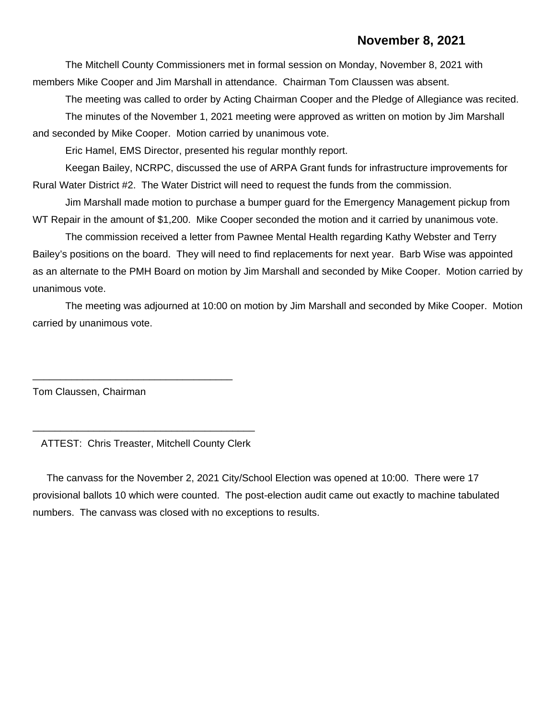### **November 8, 2021**

The Mitchell County Commissioners met in formal session on Monday, November 8, 2021 with members Mike Cooper and Jim Marshall in attendance. Chairman Tom Claussen was absent.

The meeting was called to order by Acting Chairman Cooper and the Pledge of Allegiance was recited. The minutes of the November 1, 2021 meeting were approved as written on motion by Jim Marshall and seconded by Mike Cooper. Motion carried by unanimous vote.

Eric Hamel, EMS Director, presented his regular monthly report.

Keegan Bailey, NCRPC, discussed the use of ARPA Grant funds for infrastructure improvements for Rural Water District #2. The Water District will need to request the funds from the commission.

Jim Marshall made motion to purchase a bumper guard for the Emergency Management pickup from WT Repair in the amount of \$1,200. Mike Cooper seconded the motion and it carried by unanimous vote.

The commission received a letter from Pawnee Mental Health regarding Kathy Webster and Terry Bailey's positions on the board. They will need to find replacements for next year. Barb Wise was appointed as an alternate to the PMH Board on motion by Jim Marshall and seconded by Mike Cooper. Motion carried by unanimous vote.

The meeting was adjourned at 10:00 on motion by Jim Marshall and seconded by Mike Cooper. Motion carried by unanimous vote.

Tom Claussen, Chairman

\_\_\_\_\_\_\_\_\_\_\_\_\_\_\_\_\_\_\_\_\_\_\_\_\_\_\_\_\_\_\_\_\_\_\_\_\_\_\_\_ ATTEST: Chris Treaster, Mitchell County Clerk

\_\_\_\_\_\_\_\_\_\_\_\_\_\_\_\_\_\_\_\_\_\_\_\_\_\_\_\_\_\_\_\_\_\_\_\_

 The canvass for the November 2, 2021 City/School Election was opened at 10:00. There were 17 provisional ballots 10 which were counted. The post-election audit came out exactly to machine tabulated numbers. The canvass was closed with no exceptions to results.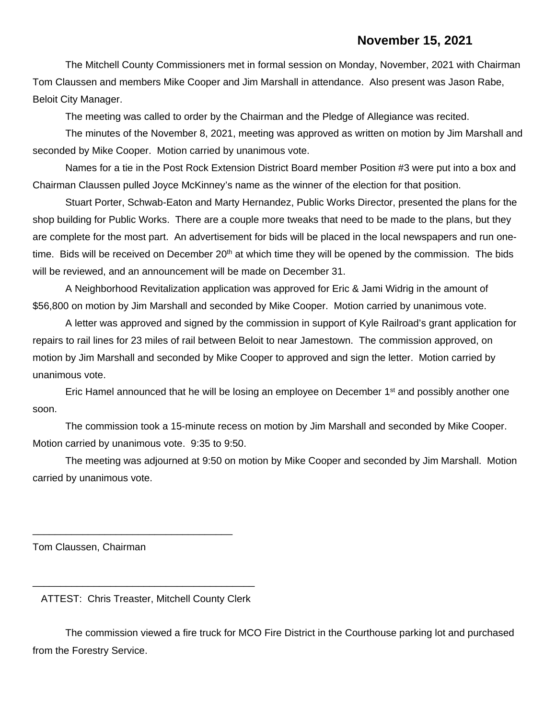The Mitchell County Commissioners met in formal session on Monday, November, 2021 with Chairman Tom Claussen and members Mike Cooper and Jim Marshall in attendance. Also present was Jason Rabe, Beloit City Manager.

The meeting was called to order by the Chairman and the Pledge of Allegiance was recited.

The minutes of the November 8, 2021, meeting was approved as written on motion by Jim Marshall and seconded by Mike Cooper. Motion carried by unanimous vote.

Names for a tie in the Post Rock Extension District Board member Position #3 were put into a box and Chairman Claussen pulled Joyce McKinney's name as the winner of the election for that position.

Stuart Porter, Schwab-Eaton and Marty Hernandez, Public Works Director, presented the plans for the shop building for Public Works. There are a couple more tweaks that need to be made to the plans, but they are complete for the most part. An advertisement for bids will be placed in the local newspapers and run onetime. Bids will be received on December 20<sup>th</sup> at which time they will be opened by the commission. The bids will be reviewed, and an announcement will be made on December 31.

A Neighborhood Revitalization application was approved for Eric & Jami Widrig in the amount of \$56,800 on motion by Jim Marshall and seconded by Mike Cooper. Motion carried by unanimous vote.

A letter was approved and signed by the commission in support of Kyle Railroad's grant application for repairs to rail lines for 23 miles of rail between Beloit to near Jamestown. The commission approved, on motion by Jim Marshall and seconded by Mike Cooper to approved and sign the letter. Motion carried by unanimous vote.

Eric Hamel announced that he will be losing an employee on December 1<sup>st</sup> and possibly another one soon.

The commission took a 15-minute recess on motion by Jim Marshall and seconded by Mike Cooper. Motion carried by unanimous vote. 9:35 to 9:50.

The meeting was adjourned at 9:50 on motion by Mike Cooper and seconded by Jim Marshall. Motion carried by unanimous vote.

Tom Claussen, Chairman

\_\_\_\_\_\_\_\_\_\_\_\_\_\_\_\_\_\_\_\_\_\_\_\_\_\_\_\_\_\_\_\_\_\_\_\_\_\_\_\_ ATTEST: Chris Treaster, Mitchell County Clerk

\_\_\_\_\_\_\_\_\_\_\_\_\_\_\_\_\_\_\_\_\_\_\_\_\_\_\_\_\_\_\_\_\_\_\_\_

The commission viewed a fire truck for MCO Fire District in the Courthouse parking lot and purchased from the Forestry Service.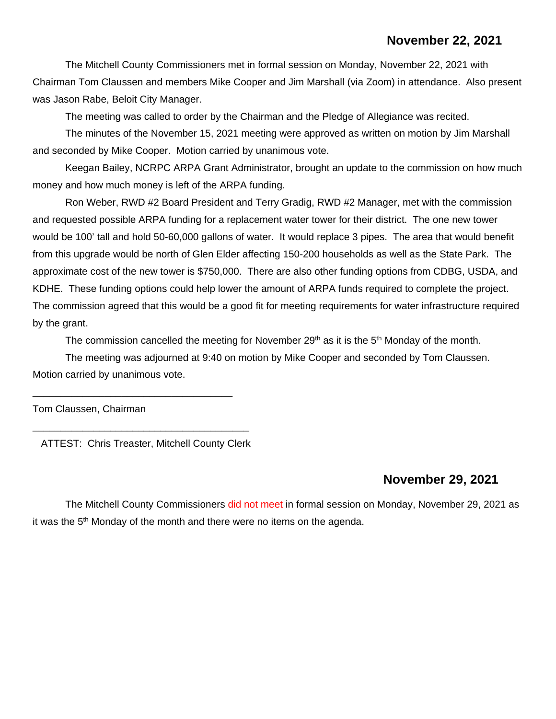## **November 22, 2021**

The Mitchell County Commissioners met in formal session on Monday, November 22, 2021 with Chairman Tom Claussen and members Mike Cooper and Jim Marshall (via Zoom) in attendance. Also present was Jason Rabe, Beloit City Manager.

The meeting was called to order by the Chairman and the Pledge of Allegiance was recited.

The minutes of the November 15, 2021 meeting were approved as written on motion by Jim Marshall and seconded by Mike Cooper. Motion carried by unanimous vote.

Keegan Bailey, NCRPC ARPA Grant Administrator, brought an update to the commission on how much money and how much money is left of the ARPA funding.

Ron Weber, RWD #2 Board President and Terry Gradig, RWD #2 Manager, met with the commission and requested possible ARPA funding for a replacement water tower for their district. The one new tower would be 100' tall and hold 50-60,000 gallons of water. It would replace 3 pipes. The area that would benefit from this upgrade would be north of Glen Elder affecting 150-200 households as well as the State Park. The approximate cost of the new tower is \$750,000. There are also other funding options from CDBG, USDA, and KDHE. These funding options could help lower the amount of ARPA funds required to complete the project. The commission agreed that this would be a good fit for meeting requirements for water infrastructure required by the grant.

The commission cancelled the meeting for November 29<sup>th</sup> as it is the 5<sup>th</sup> Monday of the month.

The meeting was adjourned at 9:40 on motion by Mike Cooper and seconded by Tom Claussen. Motion carried by unanimous vote.

Tom Claussen, Chairman

ATTEST: Chris Treaster, Mitchell County Clerk

\_\_\_\_\_\_\_\_\_\_\_\_\_\_\_\_\_\_\_\_\_\_\_\_\_\_\_\_\_\_\_\_\_\_\_\_\_\_\_

\_\_\_\_\_\_\_\_\_\_\_\_\_\_\_\_\_\_\_\_\_\_\_\_\_\_\_\_\_\_\_\_\_\_\_\_

#### **November 29, 2021**

The Mitchell County Commissioners did not meet in formal session on Monday, November 29, 2021 as it was the  $5<sup>th</sup>$  Monday of the month and there were no items on the agenda.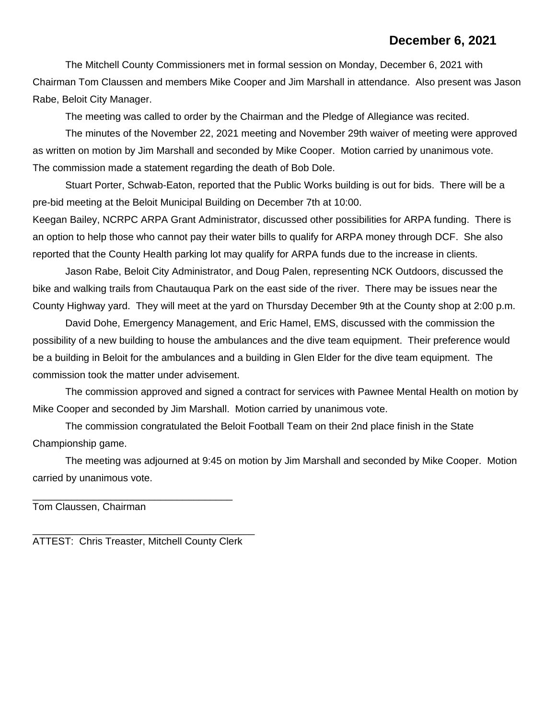## **December 6, 2021**

The Mitchell County Commissioners met in formal session on Monday, December 6, 2021 with Chairman Tom Claussen and members Mike Cooper and Jim Marshall in attendance. Also present was Jason Rabe, Beloit City Manager.

The meeting was called to order by the Chairman and the Pledge of Allegiance was recited.

The minutes of the November 22, 2021 meeting and November 29th waiver of meeting were approved as written on motion by Jim Marshall and seconded by Mike Cooper. Motion carried by unanimous vote. The commission made a statement regarding the death of Bob Dole.

Stuart Porter, Schwab-Eaton, reported that the Public Works building is out for bids. There will be a pre-bid meeting at the Beloit Municipal Building on December 7th at 10:00.

Keegan Bailey, NCRPC ARPA Grant Administrator, discussed other possibilities for ARPA funding. There is an option to help those who cannot pay their water bills to qualify for ARPA money through DCF. She also reported that the County Health parking lot may qualify for ARPA funds due to the increase in clients.

Jason Rabe, Beloit City Administrator, and Doug Palen, representing NCK Outdoors, discussed the bike and walking trails from Chautauqua Park on the east side of the river. There may be issues near the County Highway yard. They will meet at the yard on Thursday December 9th at the County shop at 2:00 p.m.

David Dohe, Emergency Management, and Eric Hamel, EMS, discussed with the commission the possibility of a new building to house the ambulances and the dive team equipment. Their preference would be a building in Beloit for the ambulances and a building in Glen Elder for the dive team equipment. The commission took the matter under advisement.

The commission approved and signed a contract for services with Pawnee Mental Health on motion by Mike Cooper and seconded by Jim Marshall. Motion carried by unanimous vote.

The commission congratulated the Beloit Football Team on their 2nd place finish in the State Championship game.

The meeting was adjourned at 9:45 on motion by Jim Marshall and seconded by Mike Cooper. Motion carried by unanimous vote.

Tom Claussen, Chairman

\_\_\_\_\_\_\_\_\_\_\_\_\_\_\_\_\_\_\_\_\_\_\_\_\_\_\_\_\_\_\_\_\_\_\_\_\_\_\_\_ ATTEST: Chris Treaster, Mitchell County Clerk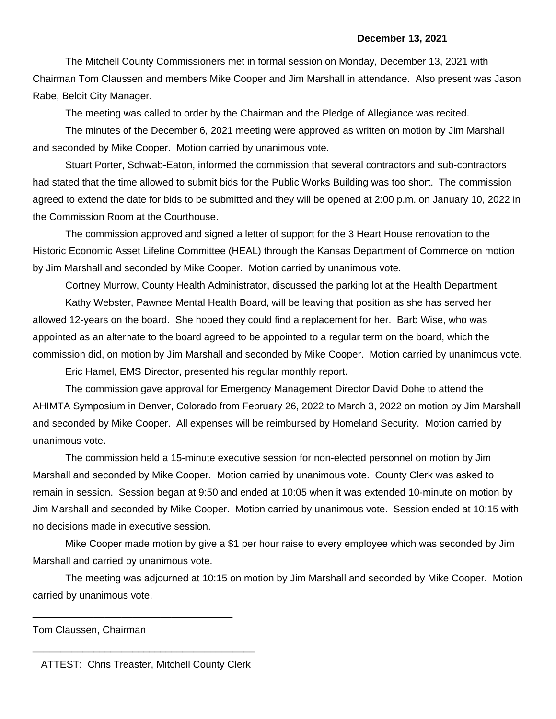The Mitchell County Commissioners met in formal session on Monday, December 13, 2021 with Chairman Tom Claussen and members Mike Cooper and Jim Marshall in attendance. Also present was Jason Rabe, Beloit City Manager.

The meeting was called to order by the Chairman and the Pledge of Allegiance was recited.

The minutes of the December 6, 2021 meeting were approved as written on motion by Jim Marshall and seconded by Mike Cooper. Motion carried by unanimous vote.

Stuart Porter, Schwab-Eaton, informed the commission that several contractors and sub-contractors had stated that the time allowed to submit bids for the Public Works Building was too short. The commission agreed to extend the date for bids to be submitted and they will be opened at 2:00 p.m. on January 10, 2022 in the Commission Room at the Courthouse.

The commission approved and signed a letter of support for the 3 Heart House renovation to the Historic Economic Asset Lifeline Committee (HEAL) through the Kansas Department of Commerce on motion by Jim Marshall and seconded by Mike Cooper. Motion carried by unanimous vote.

Cortney Murrow, County Health Administrator, discussed the parking lot at the Health Department.

Kathy Webster, Pawnee Mental Health Board, will be leaving that position as she has served her allowed 12-years on the board. She hoped they could find a replacement for her. Barb Wise, who was appointed as an alternate to the board agreed to be appointed to a regular term on the board, which the commission did, on motion by Jim Marshall and seconded by Mike Cooper. Motion carried by unanimous vote.

Eric Hamel, EMS Director, presented his regular monthly report.

The commission gave approval for Emergency Management Director David Dohe to attend the AHIMTA Symposium in Denver, Colorado from February 26, 2022 to March 3, 2022 on motion by Jim Marshall and seconded by Mike Cooper. All expenses will be reimbursed by Homeland Security. Motion carried by unanimous vote.

The commission held a 15-minute executive session for non-elected personnel on motion by Jim Marshall and seconded by Mike Cooper. Motion carried by unanimous vote. County Clerk was asked to remain in session. Session began at 9:50 and ended at 10:05 when it was extended 10-minute on motion by Jim Marshall and seconded by Mike Cooper. Motion carried by unanimous vote. Session ended at 10:15 with no decisions made in executive session.

Mike Cooper made motion by give a \$1 per hour raise to every employee which was seconded by Jim Marshall and carried by unanimous vote.

The meeting was adjourned at 10:15 on motion by Jim Marshall and seconded by Mike Cooper. Motion carried by unanimous vote.

Tom Claussen, Chairman

\_\_\_\_\_\_\_\_\_\_\_\_\_\_\_\_\_\_\_\_\_\_\_\_\_\_\_\_\_\_\_\_\_\_\_\_\_\_\_\_ ATTEST: Chris Treaster, Mitchell County Clerk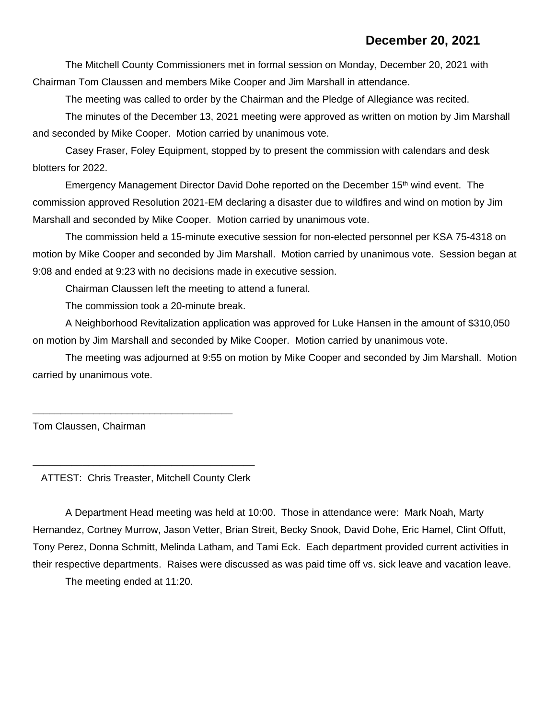The Mitchell County Commissioners met in formal session on Monday, December 20, 2021 with Chairman Tom Claussen and members Mike Cooper and Jim Marshall in attendance.

The meeting was called to order by the Chairman and the Pledge of Allegiance was recited.

The minutes of the December 13, 2021 meeting were approved as written on motion by Jim Marshall and seconded by Mike Cooper. Motion carried by unanimous vote.

Casey Fraser, Foley Equipment, stopped by to present the commission with calendars and desk blotters for 2022.

Emergency Management Director David Dohe reported on the December 15th wind event. The commission approved Resolution 2021-EM declaring a disaster due to wildfires and wind on motion by Jim Marshall and seconded by Mike Cooper. Motion carried by unanimous vote.

The commission held a 15-minute executive session for non-elected personnel per KSA 75-4318 on motion by Mike Cooper and seconded by Jim Marshall. Motion carried by unanimous vote. Session began at 9:08 and ended at 9:23 with no decisions made in executive session.

Chairman Claussen left the meeting to attend a funeral.

The commission took a 20-minute break.

A Neighborhood Revitalization application was approved for Luke Hansen in the amount of \$310,050 on motion by Jim Marshall and seconded by Mike Cooper. Motion carried by unanimous vote.

The meeting was adjourned at 9:55 on motion by Mike Cooper and seconded by Jim Marshall. Motion carried by unanimous vote.

Tom Claussen, Chairman

\_\_\_\_\_\_\_\_\_\_\_\_\_\_\_\_\_\_\_\_\_\_\_\_\_\_\_\_\_\_\_\_\_\_\_\_\_\_\_\_ ATTEST: Chris Treaster, Mitchell County Clerk

\_\_\_\_\_\_\_\_\_\_\_\_\_\_\_\_\_\_\_\_\_\_\_\_\_\_\_\_\_\_\_\_\_\_\_\_

A Department Head meeting was held at 10:00. Those in attendance were: Mark Noah, Marty Hernandez, Cortney Murrow, Jason Vetter, Brian Streit, Becky Snook, David Dohe, Eric Hamel, Clint Offutt, Tony Perez, Donna Schmitt, Melinda Latham, and Tami Eck. Each department provided current activities in their respective departments. Raises were discussed as was paid time off vs. sick leave and vacation leave.

The meeting ended at 11:20.